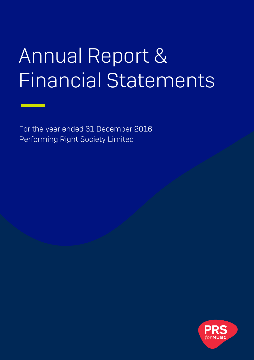# Annual Report & Financial Statements

For the year ended 31 December 2016 Performing Right Society Limited

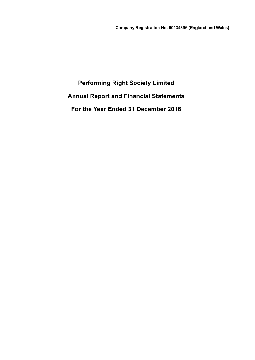# **Performing Right Society Limited Annual Report and Financial Statements For the Year Ended 31 December 2016**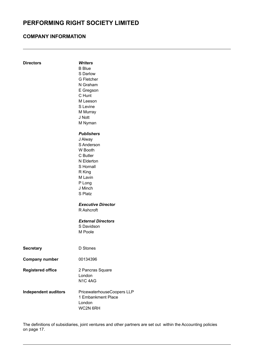### **COMPANY INFORMATION**

#### **Directors** *Writers*

|                             | <b>B</b> Blue<br>S Darlow<br><b>G</b> Fletcher<br>N Graham<br>E Gregson<br>C Hunt<br>M Leeson<br>S Levine<br>M Murray<br>J Nott<br>M Nyman        |
|-----------------------------|---------------------------------------------------------------------------------------------------------------------------------------------------|
|                             | <b>Publishers</b><br>J Alway<br>S Anderson<br>W Booth<br>C Butler<br>N Elderton<br>S Hornall<br>R King<br>M Lavin<br>P Long<br>J Minch<br>S Platz |
|                             | <b>Executive Director</b><br><b>R</b> Ashcroft                                                                                                    |
|                             | <b>External Directors</b><br>S Davidson<br>M Poole                                                                                                |
| <b>Secretary</b>            | D Stones                                                                                                                                          |
| <b>Company number</b>       | 00134396                                                                                                                                          |
| <b>Registered office</b>    | 2 Pancras Square<br>London<br>N <sub>1</sub> C <sub>4AG</sub>                                                                                     |
| <b>Independent auditors</b> | PricewaterhouseCoopers LLP<br>1 Embankment Place<br>London<br>WC2N 6RH                                                                            |

The definitions of subsidiaries, joint ventures and other partners are set out within the Accounting policies on page 17.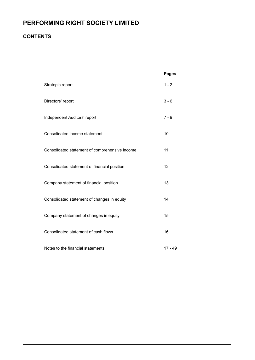### **CONTENTS**

|                                                | <b>Pages</b> |
|------------------------------------------------|--------------|
| Strategic report                               | $1 - 2$      |
| Directors' report                              | $3 - 6$      |
| Independent Auditors' report                   | $7 - 9$      |
| Consolidated income statement                  | 10           |
| Consolidated statement of comprehensive income | 11           |
| Consolidated statement of financial position   | 12           |
| Company statement of financial position        | 13           |
| Consolidated statement of changes in equity    | 14           |
| Company statement of changes in equity         | 15           |
| Consolidated statement of cash flows           | 16           |
| Notes to the financial statements              | $17 - 49$    |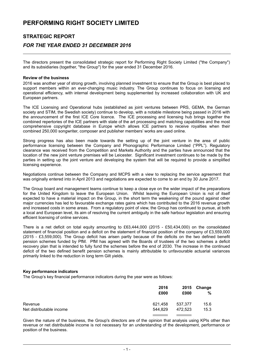### **STRATEGIC REPORT**

#### *FOR THE YEAR ENDED 31 DECEMBER 2016*

The directors present the consolidated strategic report for Performing Right Society Limited ("the Company") and its subsidiaries (together, "the Group") for the year ended 31 December 2016.

#### **Review of the business**

2016 was another year of strong growth, involving planned investment to ensure that the Group is best placed to support members within an ever-changing music industry. The Group continues to focus on licensing and operational efficiency, with internal development being supplemented by increased collaboration with UK and European partners.

The ICE Licensing and Operational hubs (established as joint ventures between PRS, GEMA, the German society and STIM, the Swedish society) continue to develop, with a notable milestone being passed in 2016 with the announcement of the first ICE Core licence. The ICE processing and licensing hub brings together the combined repertories of the ICE partners with state of the art processing and matching capabilities and the most comprehensive copyright database in Europe which allows ICE partners to receive royalties when their combined 250,000 songwriter, composer and publisher members' works are used online.

Strong progress has also been made towards the setting up of the joint venture in the area of public performance licensing between the Company and Phonographic Performance Limited ("PPL"). Regulatory clearance was received from the Competition and Markets Authority and the parties have announced that the location of the new joint venture premises will be Leicester. Significant investment continues to be made by the parties in setting up the joint venture and developing the system that will be required to provide a simplified licensing experience.

Negotiations continue between the Company and MCPS with a view to replacing the service agreement that was originally entered into in April 2013 and negotiations are expected to come to an end by 30 June 2017.

The Group board and management teams continue to keep a close eye on the wider impact of the preparations for the United Kingdom to leave the European Union. Whilst leaving the European Union is not of itself expected to have a material impact on the Group, in the short term the weakening of the pound against other major currencies has led to favourable exchange rates gains which has contributed to the 2016 revenue growth and increased costs in some areas. From a regulatory point of view, the Group has continued to pursue, at both a local and European level, its aim of resolving the current ambiguity in the safe harbour legislation and ensuring efficient licensing of online services.

There is a net deficit on total equity amounting to £63,444,000 (2015 - £50,434,000) on the consolidated statement of financial position and a deficit on the statement of financial position of the company of £3,559,000 (2015 - £3,559,000). The Group deficit has arisen partly because of the deficits on the two defined benefit pension schemes funded by PfM. PfM has agreed with the Boards of trustees of the two schemes a deficit recovery plan that is intended to fully fund the schemes before the end of 2030. The increase in the continued deficit of the two defined benefit pension schemes is mainly attributable to unfavourable actuarial variances primarily linked to the reduction in long term Gilt yields.

#### **Key performance indicators**

The Group's key financial performance indicators during the year were as follows:

|                          | 2016<br>£000 | £000    | 2015 Change<br>% |
|--------------------------|--------------|---------|------------------|
| Revenue                  | 621.458      | 537.377 | 15.6             |
| Net distributable income | 544.829      | 472.523 | 15.3             |

Given the nature of the business, the Group's directors are of the opinion that analysis using KPIs other than revenue or net distributable income is not necessary for an understanding of the development, performance or position of the business.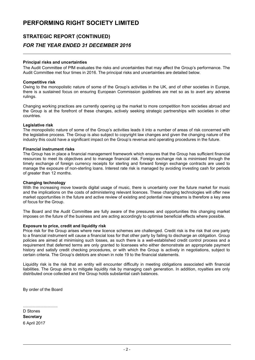### **STRATEGIC REPORT (CONTINUED)**

### *FOR THE YEAR ENDED 31 DECEMBER 2016*

#### **Principal risks and uncertainties**

The Audit Committee of PfM evaluates the risks and uncertainties that may affect the Group's performance. The Audit Committee met four times in 2016. The principal risks and uncertainties are detailed below.

#### **Competitive risk**

Owing to the monopolistic nature of some of the Group's activities in the UK, and of other societies in Europe, there is a sustained focus on ensuring European Commission guidelines are met so as to avert any adverse rulings.

Changing working practices are currently opening up the market to more competition from societies abroad and the Group is at the forefront of these changes, actively seeking strategic partnerships with societies in other countries.

#### **Legislative risk**

The monopolistic nature of some of the Group's activities leads it into a number of areas of risk concerned with the legislative process. The Group is also subject to copyright law changes and given the changing nature of the industry this could have a significant impact on the Group's revenue and operating procedures in the future.

#### **Financial instrument risks**

The Group has in place a financial management framework which ensures that the Group has sufficient financial resources to meet its objectives and to manage financial risk. Foreign exchange risk is minimised through the timely exchange of foreign currency receipts for sterling and forward foreign exchange contracts are used to manage the exposure of non-sterling loans. Interest rate risk is managed by avoiding investing cash for periods of greater than 12 months.

#### **Changing technology**

With the increasing move towards digital usage of music, there is uncertainty over the future market for music and the implications on the costs of administering relevant licences. These changing technologies will offer new market opportunities in the future and active review of existing and potential new streams is therefore a key area of focus for the Group.

The Board and the Audit Committee are fully aware of the pressures and opportunities this changing market imposes on the future of the business and are acting accordingly to optimise beneficial effects where possible.

#### **Exposure to price, credit and liquidity risk**

Price risk for the Group arises where new licence schemes are challenged. Credit risk is the risk that one party to a financial instrument will cause a financial loss for that other party by failing to discharge an obligation. Group policies are aimed at minimising such losses, as such there is a well-established credit control process and a requirement that deferred terms are only granted to licensees who either demonstrate an appropriate payment history and satisfy credit checking procedures, or with which the Group is actively in negotiations, subject to certain criteria. The Group's debtors are shown in note 19 to the financial statements.

Liquidity risk is the risk that an entity will encounter difficulty in meeting obligations associated with financial liabilities. The Group aims to mitigate liquidity risk by managing cash generation. In addition, royalties are only distributed once collected and the Group holds substantial cash balances.

By order of the Board

..............................

D Stones **Secretary** 6 April 2017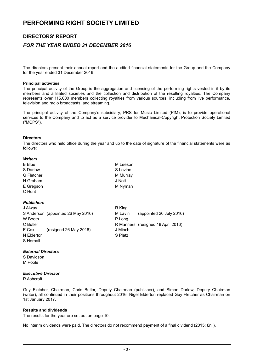### **DIRECTORS' REPORT**

### *FOR THE YEAR ENDED 31 DECEMBER 2016*

The directors present their annual report and the audited financial statements for the Group and the Company for the year ended 31 December 2016.

#### **Principal activities**

The principal activity of the Group is the aggregation and licensing of the performing rights vested in it by its members and affiliated societies and the collection and distribution of the resulting royalties. The Company represents over 115,000 members collecting royalties from various sources, including from live performance, television and radio broadcasts, and streaming.

The principal activity of the Company's subsidiary, PRS for Music Limited (PfM), is to provide operational services to the Company and to act as a service provider to Mechanical-Copyright Protection Society Limited ("MCPS").

#### **Directors**

The directors who held office during the year and up to the date of signature of the financial statements were as follows:

#### *Writers*

| <b>B</b> Blue                      | M Leeson |    |
|------------------------------------|----------|----|
| S Darlow                           | S Levine |    |
| G Fletcher                         | M Murray |    |
| N Graham                           | J Nott   |    |
| E Gregson                          | M Nyman  |    |
| C Hunt                             |          |    |
| <b>Publishers</b>                  |          |    |
| J Alway                            | R King   |    |
| S Anderson (appointed 26 May 2016) | M Lavin  | (a |
| $111 \text{ N} \cdot 11$           |          |    |

W Booth **P** Long C Butler R Manners (resigned 18 April 2016) E Cox (resigned 26 May 2016) J Minch N Elderton S Platz S Hornall

p pointed 20 July 2016)

#### *External Directors*

S Davidson M Poole

#### *Executive Director*

R Ashcroft

Guy Fletcher, Chairman, Chris Butler, Deputy Chairman (publisher), and Simon Darlow, Deputy Chairman (writer), all continued in their positions throughout 2016. Nigel Elderton replaced Guy Fletcher as Chairman on 1st January 2017.

#### **Results and dividends**

The results for the year are set out on page 10.

No interim dividends were paid. The directors do not recommend payment of a final dividend (2015: £nil).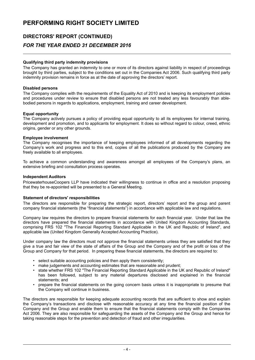# **DIRECTORS' REPORT (CONTINUED)**

### *FOR THE YEAR ENDED 31 DECEMBER 2016*

#### **Qualifying third party indemnity provisions**

The Company has granted an indemnity to one or more of its directors against liability in respect of proceedings brought by third parties, subject to the conditions set out in the Companies Act 2006. Such qualifying third party indemnity provision remains in force as at the date of approving the directors' report.

#### **Disabled persons**

The Company complies with the requirements of the Equality Act of 2010 and is keeping its employment policies and procedures under review to ensure that disabled persons are not treated any less favourably than ablebodied persons in regards to applications, employment, training and career development.

#### **Equal opportunity**

The Company actively pursues a policy of providing equal opportunity to all its employees for internal training, development and promotion, and to applicants for employment. It does so without regard to colour, creed, ethnic origins, gender or any other grounds.

#### **Employee involvement**

The Company recognises the importance of keeping employees informed of all developments regarding the Company's work and progress and to this end, copies of all the publications produced by the Company are freely available to all employees.

To achieve a common understanding and awareness amongst all employees of the Company's plans, an extensive briefing and consultation process operates.

#### **Independent Auditors**

PricewaterhouseCoopers LLP have indicated their willingness to continue in office and a resolution proposing that they be re-appointed will be presented to a General Meeting.

#### **Statement of directors' responsibilities**

The directors are responsible for preparing the strategic report, directors' report and the group and parent company financial statements (the "financial statements") in accordance with applicable law and regulations.

Company law requires the directors to prepare financial statements for each financial year. Under that law the directors have prepared the financial statements in accordance with United Kingdom Accounting Standards, comprising FRS 102 "The Financial Reporting Standard Applicable in the UK and Republic of Ireland", and applicable law (United Kingdom Generally Accepted Accounting Practice).

Under company law the directors must not approve the financial statements unless they are satisfied that they give a true and fair view of the state of affairs of the Group and the Company and of the profit or loss of the Group and Company for that period. In preparing these financial statements, the directors are required to:

- select suitable accounting policies and then apply them consistently;
- make judgements and accounting estimates that are reasonable and prudent;
- state whether FRS 102 "The Financial Reporting Standard Applicable in the UK and Republic of Ireland" has been followed, subject to any material departures disclosed and explained in the financial statements; and
- prepare the financial statements on the going concern basis unless it is inappropriate to presume that the Company will continue in business.

The directors are responsible for keeping adequate accounting records that are sufficient to show and explain the Company's transactions and disclose with reasonable accuracy at any time the financial position of the Company and the Group and enable them to ensure that the financial statements comply with the Companies Act 2006. They are also responsible for safeguarding the assets of the Company and the Group and hence for taking reasonable steps for the prevention and detection of fraud and other irregularities.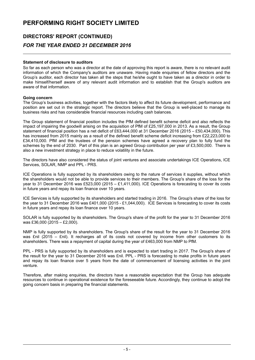# **DIRECTORS' REPORT (CONTINUED)** *FOR THE YEAR ENDED 31 DECEMBER 2016*

#### **Statement of disclosure to auditors**

So far as each person who was a director at the date of approving this report is aware, there is no relevant audit information of which the Company's auditors are unaware. Having made enquiries of fellow directors and the Group's auditor, each director has taken all the steps that he/she ought to have taken as a director in order to make himself/herself aware of any relevant audit information and to establish that the Group's auditors are aware of that information.

#### **Going concern**

The Group's business activities, together with the factors likely to affect its future development, performance and position are set out in the strategic report. The directors believe that the Group is well-placed to manage its business risks and has considerable financial resources including cash balances.

The Group statement of financial position includes the PfM defined benefit scheme deficit and also reflects the impact of impairing the goodwill arising on the acquisition of PfM of £25,197,000 in 2013. As a result, the Group statement of financial position has a net deficit of £63,444,000 at 31 December 2016 (2015 – £50,434,000). This has increased from 2015 mainly as a result of the defined benefit scheme deficit increasing from £22,223,000 to £34,410,000. PfM and the trustees of the pension schemes have agreed a recovery plan to fully fund the schemes by the end of 2030. Part of this plan is an agreed Group contribution per year of £3,500,000. There is also a new investment strategy in place to reduce volatility in the future.

The directors have also considered the status of joint ventures and associate undertakings ICE Operations, ICE Services, SOLAR, NMP and PPL - PRS.

ICE Operations is fully supported by its shareholders owing to the nature of services it supplies, without which the shareholders would not be able to provide services to their members. The Group's share of the loss for the year to 31 December 2016 was £523,000 (2015 – £1,411,000). ICE Operations is forecasting to cover its costs in future years and repay its loan finance over 10 years.

ICE Services is fully supported by its shareholders and started trading in 2016. The Group's share of the loss for the year to 31 December 2016 was £401,000 (2015 - £1,044,000). ICE Services is forecasting to cover its costs in future years and repay its loan finance over 10 years.

SOLAR is fully supported by its shareholders. The Group's share of the profit for the year to 31 December 2016 was £36,000 (2015 – £2,000).

NMP is fully supported by its shareholders. The Group's share of the result for the year to 31 December 2016 was £nil (2015 – £nil). It recharges all of its costs not covered by income from other customers to its shareholders. There was a repayment of capital during the year of £463,000 from NMP to PfM.

PPL - PRS is fully supported by its shareholders and is expected to start trading in 2017. The Group's share of the result for the year to 31 December 2016 was £nil. PPL - PRS is forecasting to make profits in future years and repay its loan finance over 5 years from the date of commencement of licensing activities in the joint venture.

Therefore, after making enquiries, the directors have a reasonable expectation that the Group has adequate resources to continue in operational existence for the foreseeable future. Accordingly, they continue to adopt the going concern basis in preparing the financial statements.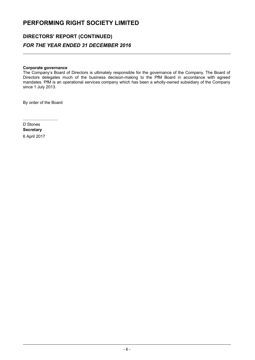# **DIRECTORS' REPORT (CONTINUED)** *FOR THE YEAR ENDED 31 DECEMBER 2016*

#### **Corporate governance**

The Company's Board of Directors is ultimately responsible for the governance of the Company. The Board of Directors delegates much of the business decision-making to the PfM Board in accordance with agreed mandates. PfM is an operational services company which has been a wholly-owned subsidiary of the Company since 1 July 2013.

By order of the Board

..............................

D Stones **Secretary** 6 April 2017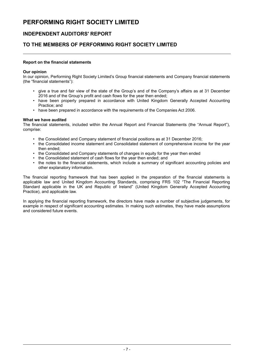### **INDEPENDENT AUDITORS' REPORT**

### **TO THE MEMBERS OF PERFORMING RIGHT SOCIETY LIMITED**

#### **Report on the financial statements**

#### **Our opinion**

In our opinion, Performing Right Society Limited's Group financial statements and Company financial statements (the "financial statements"):

- give a true and fair view of the state of the Group's and of the Company's affairs as at 31 December 2016 and of the Group's profit and cash flows for the year then ended;
- have been properly prepared in accordance with United Kingdom Generally Accepted Accounting Practice; and
- have been prepared in accordance with the requirements of the Companies Act 2006.

#### **What we have audited**

The financial statements, included within the Annual Report and Financial Statements (the "Annual Report"), comprise:

- the Consolidated and Company statement of financial positions as at 31 December 2016;
- the Consolidated income statement and Consolidated statement of comprehensive income for the year then ended;
- the Consolidated and Company statements of changes in equity for the year then ended
- the Consolidated statement of cash flows for the year then ended; and
- the notes to the financial statements, which include a summary of significant accounting policies and other explanatory information.

The financial reporting framework that has been applied in the preparation of the financial statements is applicable law and United Kingdom Accounting Standards, comprising FRS 102 "The Financial Reporting Standard applicable in the UK and Republic of Ireland" (United Kingdom Generally Accepted Accounting Practice), and applicable law.

In applying the financial reporting framework, the directors have made a number of subjective judgements, for example in respect of significant accounting estimates. In making such estimates, they have made assumptions and considered future events.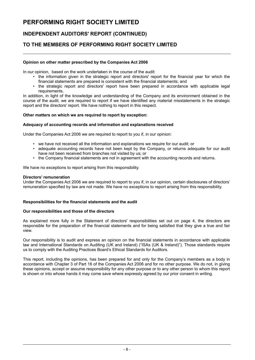### **INDEPENDENT AUDITORS' REPORT (CONTINUED)**

### **TO THE MEMBERS OF PERFORMING RIGHT SOCIETY LIMITED**

#### **Opinion on other matter prescribed by the Companies Act 2006**

In our opinion, based on the work undertaken in the course of the audit:

- the information given in the strategic report and directors' report for the financial year for which the financial statements are prepared is consistent with the financial statements; and
- the strategic report and directors' report have been prepared in accordance with applicable legal requirements.

In addition, in light of the knowledge and understanding of the Company and its environment obtained in the course of the audit, we are required to report if we have identified any material misstatements in the strategic report and the directors' report. We have nothing to report in this respect.

#### **Other matters on which we are required to report by exception:**

#### **Adequacy of accounting records and information and explanations received**

Under the Companies Act 2006 we are required to report to you if, in our opinion:

- we have not received all the information and explanations we require for our audit; or
- adequate accounting records have not been kept by the Company, or returns adequate for our audit have not been received from branches not visited by us; or
- the Company financial statements are not in agreement with the accounting records and returns.

We have no exceptions to report arising from this responsibility.

#### **Directors' remuneration**

Under the Companies Act 2006 we are required to report to you if, in our opinion, certain disclosures of directors' remuneration specified by law are not made. We have no exceptions to report arising from this responsibility.

#### **Responsibilities for the financial statements and the audit**

#### **Our responsibilities and those of the directors**

As explained more fully in the Statement of directors' responsibilities set out on page 4, the directors are responsible for the preparation of the financial statements and for being satisfied that they give a true and fair view.

Our responsibility is to audit and express an opinion on the financial statements in accordance with applicable law and International Standards on Auditing (UK and Ireland) ("ISAs (UK & Ireland)"). Those standards require us to comply with the Auditing Practices Board's Ethical Standards for Auditors.

This report, including the opinions, has been prepared for and only for the Company's members as a body in accordance with Chapter 3 of Part 16 of the Companies Act 2006 and for no other purpose. We do not, in giving these opinions, accept or assume responsibility for any other purpose or to any other person to whom this report is shown or into whose hands it may come save where expressly agreed by our prior consent in writing.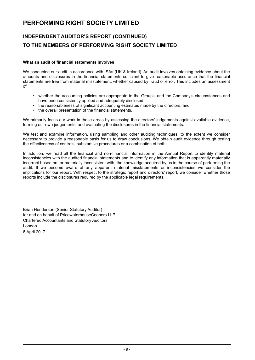# **INDEPENDENT AUDITOR'S REPORT (CONTINUED) TO THE MEMBERS OF PERFORMING RIGHT SOCIETY LIMITED**

#### **What an audit of financial statements involves**

We conducted our audit in accordance with ISAs (UK & Ireland). An audit involves obtaining evidence about the amounts and disclosures in the financial statements sufficient to give reasonable assurance that the financial statements are free from material misstatement, whether caused by fraud or error. This includes an assessment of:

- whether the accounting policies are appropriate to the Group's and the Company's circumstances and have been consistently applied and adequately disclosed;
- the reasonableness of significant accounting estimates made by the directors; and
- the overall presentation of the financial statements.

We primarily focus our work in these areas by assessing the directors' judgements against available evidence, forming our own judgements, and evaluating the disclosures in the financial statements.

We test and examine information, using sampling and other auditing techniques, to the extent we consider necessary to provide a reasonable basis for us to draw conclusions. We obtain audit evidence through testing the effectiveness of controls, substantive procedures or a combination of both.

In addition, we read all the financial and non-financial information in the Annual Report to identify material inconsistencies with the audited financial statements and to identify any information that is apparently materially incorrect based on, or materially inconsistent with, the knowledge acquired by us in the course of performing the audit. If we become aware of any apparent material misstatements or inconsistencies we consider the implications for our report. With respect to the strategic report and directors' report, we consider whether those reports include the disclosures required by the applicable legal requirements.

Brian Henderson (Senior Statutory Auditor) for and on behalf of PricewaterhouseCoopers LLP Chartered Accountants and Statutory Auditors London 6 April 2017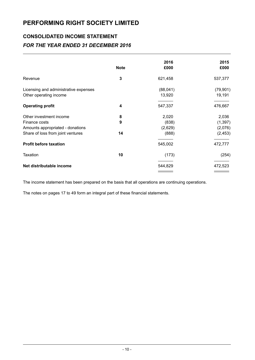# **CONSOLIDATED INCOME STATEMENT** *FOR THE YEAR ENDED 31 DECEMBER 2016*

|                                                                              | <b>Note</b> | 2016<br>£000              | 2015<br>£000                 |
|------------------------------------------------------------------------------|-------------|---------------------------|------------------------------|
| Revenue                                                                      | 3           | 621,458                   | 537,377                      |
| Licensing and administrative expenses<br>Other operating income              |             | (88,041)<br>13,920        | (79, 901)<br>19,191          |
| <b>Operating profit</b>                                                      | 4           | 547,337                   | 476,667                      |
| Other investment income<br>Finance costs<br>Amounts appropriated - donations | 8<br>9      | 2,020<br>(838)<br>(2,629) | 2,036<br>(1, 397)<br>(2,076) |
| Share of loss from joint ventures                                            | 14          | (888)                     | (2, 453)                     |
| <b>Profit before taxation</b>                                                |             | 545,002                   | 472,777                      |
| Taxation                                                                     | 10          | (173)                     | (254)                        |
| Net distributable income                                                     |             | 544,829                   | 472,523                      |

The income statement has been prepared on the basis that all operations are continuing operations.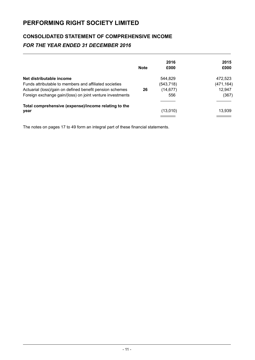# **CONSOLIDATED STATEMENT OF COMPREHENSIVE INCOME** *FOR THE YEAR ENDED 31 DECEMBER 2016*

|                                                           |             | 2016      | 2015       |
|-----------------------------------------------------------|-------------|-----------|------------|
|                                                           | <b>Note</b> | £000      | £000       |
| Net distributable income                                  |             | 544.829   | 472.523    |
| Funds attributable to members and affiliated societies    |             | (543,718) | (471, 164) |
| Actuarial (loss)/gain on defined benefit pension schemes  | 26          | (14,677)  | 12.947     |
| Foreign exchange gain/(loss) on joint venture investments |             | 556       | (367)      |
| Total comprehensive (expense)/income relating to the      |             |           |            |
| year                                                      |             | (13,010)  | 13.939     |
|                                                           |             |           |            |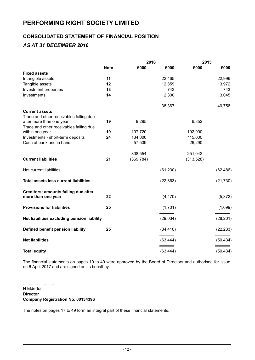### **CONSOLIDATED STATEMENT OF FINANCIAL POSITION**

### *AS AT 31 DECEMBER 2016*

|                                                                   |             | 2016                  |           | 2015                  |           |
|-------------------------------------------------------------------|-------------|-----------------------|-----------|-----------------------|-----------|
|                                                                   | <b>Note</b> | £000                  | £000      | £000                  | £000      |
| <b>Fixed assets</b>                                               |             |                       |           |                       |           |
| Intangible assets                                                 | 11          |                       | 22,465    |                       | 22,996    |
| Tangible assets                                                   | 12          |                       | 12,859    |                       | 13,972    |
| Investment properties                                             | 13          |                       | 743       |                       | 743       |
| Investments                                                       | 14          |                       | 2,300     |                       | 3,045     |
|                                                                   |             |                       | 38,367    |                       | 40,756    |
| <b>Current assets</b>                                             |             |                       |           |                       |           |
| Trade and other receivables falling due                           |             |                       |           |                       |           |
| after more than one year                                          | 19          | 9,295                 |           | 6,852                 |           |
| Trade and other receivables falling due                           |             |                       |           |                       |           |
| within one year                                                   | 19          | 107,720               |           | 102,900               |           |
| Investments - short-term deposits                                 | 24          | 134,000               |           | 115,000               |           |
| Cash at bank and in hand                                          |             | 57,539                |           | 26,290                |           |
|                                                                   |             |                       |           |                       |           |
| <b>Current liabilities</b>                                        | 21          | 308,554<br>(369, 784) |           | 251,042<br>(313, 528) |           |
| Net current liabilities                                           |             |                       | (61, 230) |                       | (62, 486) |
|                                                                   |             |                       |           |                       |           |
| <b>Total assets less current liabilities</b>                      |             |                       | (22, 863) |                       | (21, 730) |
| <b>Creditors: amounts falling due after</b><br>more than one year | 22          |                       | (4, 470)  |                       | (5,372)   |
| <b>Provisions for liabilities</b>                                 | 25          |                       | (1,701)   |                       | (1,099)   |
| Net liabilities excluding pension liability                       |             |                       | (29, 034) |                       | (28, 201) |
| Defined benefit pension liability                                 | 25          |                       | (34, 410) |                       | (22, 233) |
| <b>Net liabilities</b>                                            |             |                       | (63, 444) |                       | (50, 434) |
| <b>Total equity</b>                                               |             |                       | (63, 444) |                       | (50, 434) |

The financial statements on pages 10 to 49 were approved by the Board of Directors and authorised for issue on 6 April 2017 and are signed on its behalf by:

.............................. N Elderton **Director Company Registration No. 00134396**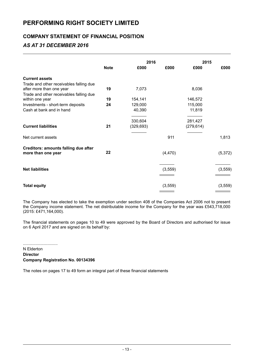### **COMPANY STATEMENT OF FINANCIAL POSITION**

### *AS AT 31 DECEMBER 2016*

|                                             |             | 2016       |          | 2015       |          |
|---------------------------------------------|-------------|------------|----------|------------|----------|
|                                             | <b>Note</b> | £000       | £000     | £000       | £000     |
| <b>Current assets</b>                       |             |            |          |            |          |
| Trade and other receivables falling due     |             |            |          |            |          |
| after more than one year                    | 19          | 7,073      |          | 8,036      |          |
| Trade and other receivables falling due     |             |            |          |            |          |
| within one year                             | 19          | 154,141    |          | 146,572    |          |
| Investments - short-term deposits           | 24          | 129,000    |          | 115,000    |          |
| Cash at bank and in hand                    |             | 40,390     |          | 11,819     |          |
|                                             |             | 330,604    |          | 281,427    |          |
| <b>Current liabilities</b>                  | 21          | (329, 693) |          | (279, 614) |          |
| Net current assets                          |             |            | 911      |            | 1,813    |
| <b>Creditors: amounts falling due after</b> |             |            |          |            |          |
| more than one year                          | 22          |            | (4, 470) |            | (5,372)  |
|                                             |             |            |          |            |          |
| <b>Net liabilities</b>                      |             |            | (3, 559) |            | (3, 559) |
|                                             |             |            |          |            |          |
| <b>Total equity</b>                         |             |            | (3, 559) |            | (3, 559) |
|                                             |             |            |          |            |          |

The Company has elected to take the exemption under section 408 of the Companies Act 2006 not to present the Company income statement. The net distributable income for the Company for the year was £543,718,000 (2015: £471,164,000).

The financial statements on pages 10 to 49 were approved by the Board of Directors and authorised for issue on 6 April 2017 and are signed on its behalf by:

.............................. N Elderton **Director Company Registration No. 00134396**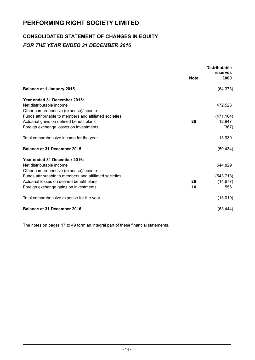# **CONSOLIDATED STATEMENT OF CHANGES IN EQUITY** *FOR THE YEAR ENDED 31 DECEMBER 2016*

|                                                                                                                                                                                       | <b>Note</b> | <b>Distributable</b><br>reserves<br>£000 |
|---------------------------------------------------------------------------------------------------------------------------------------------------------------------------------------|-------------|------------------------------------------|
| <b>Balance at 1 January 2015</b>                                                                                                                                                      |             | (64, 373)                                |
| Year ended 31 December 2015:<br>Net distributable income                                                                                                                              |             | 472,523                                  |
| Other comprehensive (expense)/income:<br>Funds attributable to members and affiliated societies<br>Actuarial gains on defined benefit plans<br>Foreign exchange losses on investments | 26          | (471, 164)<br>12,947<br>(367)            |
| Total comprehensive income for the year                                                                                                                                               |             | 13,939                                   |
| <b>Balance at 31 December 2015</b>                                                                                                                                                    |             | (50, 434)                                |
| Year ended 31 December 2016:<br>Net distributable income<br>Other comprehensive (expense)/income:                                                                                     |             | 544,829                                  |
| Funds attributable to members and affiliated societies<br>Actuarial losses on defined benefit plans                                                                                   | 26          | (543, 718)<br>(14, 677)                  |
| Foreign exchange gains on investments                                                                                                                                                 | 14          | 556                                      |
| Total comprehensive expense for the year                                                                                                                                              |             | (13,010)                                 |
| <b>Balance at 31 December 2016</b>                                                                                                                                                    |             | (63, 444)                                |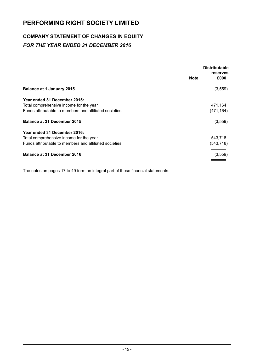# **COMPANY STATEMENT OF CHANGES IN EQUITY** *FOR THE YEAR ENDED 31 DECEMBER 2016*

|                                                        | <b>Distributable</b><br>reserves<br><b>Note</b><br>£000 |
|--------------------------------------------------------|---------------------------------------------------------|
| <b>Balance at 1 January 2015</b>                       | (3,559)                                                 |
| Year ended 31 December 2015:                           |                                                         |
| Total comprehensive income for the year                | 471,164                                                 |
| Funds attributable to members and affiliated societies | (471, 164)                                              |
| <b>Balance at 31 December 2015</b>                     | (3, 559)                                                |
| Year ended 31 December 2016:                           |                                                         |
| Total comprehensive income for the year                | 543,718                                                 |
| Funds attributable to members and affiliated societies | (543, 718)                                              |
| <b>Balance at 31 December 2016</b>                     | (3,559)                                                 |
|                                                        |                                                         |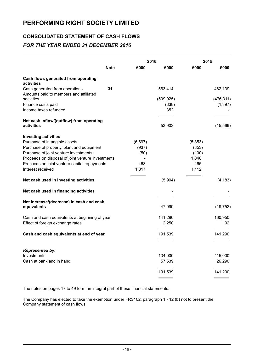### **CONSOLIDATED STATEMENT OF CASH FLOWS**  *FOR THE YEAR ENDED 31 DECEMBER 2016*

|                                                                          |             |         | 2016       | 2015    |            |
|--------------------------------------------------------------------------|-------------|---------|------------|---------|------------|
|                                                                          | <b>Note</b> | £000    | £000       | £000    | £000       |
| Cash flows generated from operating<br>activities                        |             |         |            |         |            |
| Cash generated from operations<br>Amounts paid to members and affiliated | 31          |         | 563,414    |         | 462,139    |
| societies                                                                |             |         | (509, 025) |         | (476, 311) |
| Finance costs paid                                                       |             |         | (838)      |         | (1, 397)   |
| Income taxes refunded                                                    |             |         | 352        |         |            |
| Net cash inflow/(outflow) from operating<br>activities                   |             |         | 53,903     |         | (15, 569)  |
| <b>Investing activities</b>                                              |             |         |            |         |            |
| Purchase of intangible assets                                            |             | (6,697) |            | (5,853) |            |
| Purchase of property, plant and equipment                                |             | (937)   |            | (853)   |            |
| Purchase of joint venture investments                                    |             | (50)    |            | (100)   |            |
| Proceeds on disposal of joint venture investments                        |             |         |            | 1,046   |            |
| Proceeds on joint venture capital repayments                             |             | 463     |            | 465     |            |
| Interest received                                                        |             | 1,317   |            | 1,112   |            |
|                                                                          |             |         |            |         |            |
| Net cash used in investing activities                                    |             |         | (5,904)    |         | (4, 183)   |
| Net cash used in financing activities                                    |             |         |            |         |            |
| Net increase/(decrease) in cash and cash                                 |             |         |            |         |            |
| equivalents                                                              |             |         | 47,999     |         | (19, 752)  |
| Cash and cash equivalents at beginning of year                           |             |         | 141,290    |         | 160,950    |
| Effect of foreign exchange rates                                         |             |         | 2,250      |         | 92         |
| Cash and cash equivalents at end of year                                 |             |         | 191,539    |         | 141,290    |
|                                                                          |             |         |            |         |            |
| <b>Represented by:</b>                                                   |             |         |            |         |            |
| Investments                                                              |             |         | 134,000    |         | 115,000    |
| Cash at bank and in hand                                                 |             |         | 57,539     |         | 26,290     |
|                                                                          |             |         | 191,539    |         | 141,290    |
|                                                                          |             |         |            |         |            |

The notes on pages 17 to 49 form an integral part of these financial statements.

The Company has elected to take the exemption under FRS102, paragraph 1 - 12 (b) not to present the Company statement of cash flows.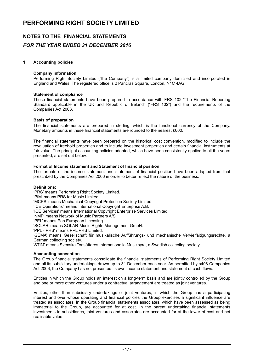# **NOTES TO THE FINANCIAL STATEMENTS** *FOR THE YEAR ENDED 31 DECEMBER 2016*

#### **1 Accounting policies**

#### **Company information**

Performing Right Society Limited ("the Company") is a limited company domiciled and incorporated in England and Wales. The registered office is 2 Pancras Square, London, N1C 4AG.

#### **Statement of compliance**

These financial statements have been prepared in accordance with FRS 102 "The Financial Reporting Standard applicable in the UK and Republic of Ireland" ("FRS 102") and the requirements of the Companies Act 2006.

#### **Basis of preparation**

The financial statements are prepared in sterling, which is the functional currency of the Company. Monetary amounts in these financial statements are rounded to the nearest £000.

The financial statements have been prepared on the historical cost convention, modified to include the revaluation of freehold properties and to include investment properties and certain financial instruments at fair value. The principal accounting policies adopted, which have been consistently applied to all the years presented, are set out below.

#### **Format of Income statement and Statement of financial position**

The formats of the income statement and statement of financial position have been adapted from that prescribed by the Companies Act 2006 in order to better reflect the nature of the business.

#### **Definitions:**

'PRS' means Performing Right Society Limited.

'PfM' means PRS for Music Limited.

'MCPS' means Mechanical-Copyright Protection Society Limited.

'ICE Operations' means International Copyright Enterprise A.B.

'ICE Services' means International Copyright Enterprise Services Limited.

'NMP' means Network of Music Partners A/S.

'PEL' means Pan European Licensing.

'SOLAR' means SOLAR-Music Rights Management GmbH.

'PPL - PRS' means PPL PRS Limited.

'GEMA' means Gesellschaft für musikalische Aufführungs- und mechanische Vervielfältigungsrechte, a German collecting society.

'STIM' means Svenska Tonsättares Internationella Musikbyrå, a Swedish collecting society.

#### **Accounting convention**

The Group financial statements consolidate the financial statements of Performing Right Society Limited and all its subsidiary undertakings drawn up to 31 December each year. As permitted by s408 Companies Act 2006, the Company has not presented its own income statement and statement of cash flows.

Entities in which the Group holds an interest on a long-term basis and are jointly controlled by the Group and one or more other ventures under a contractual arrangement are treated as joint ventures.

Entities, other than subsidiary undertakings or joint ventures, in which the Group has a participating interest and over whose operating and financial policies the Group exercises a significant influence are treated as associates. In the Group financial statements associates, which have been assessed as being immaterial to the Group, are accounted for at cost. In the parent undertaking financial statements investments in subsidiaries, joint ventures and associates are accounted for at the lower of cost and net realisable value.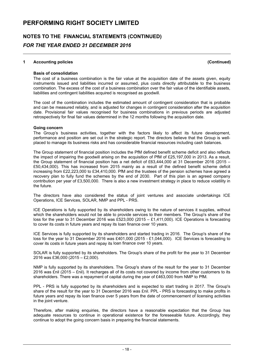#### **1 Accounting policies (Continued)**

#### **Basis of consolidation**

The cost of a business combination is the fair value at the acquisition date of the assets given, equity instruments issued and liabilities incurred or assumed, plus costs directly attributable to the business combination. The excess of the cost of a business combination over the fair value of the identifiable assets, liabilities and contingent liabilities acquired is recognised as goodwill.

The cost of the combination includes the estimated amount of contingent consideration that is probable and can be measured reliably, and is adjusted for changes in contingent consideration after the acquisition date. Provisional fair values recognised for business combinations in previous periods are adjusted retrospectively for final fair values determined in the 12 months following the acquisition date.

#### **Going concern**

The Group's business activities, together with the factors likely to affect its future development, performance and position are set out in the strategic report. The directors believe that the Group is wellplaced to manage its business risks and has considerable financial resources including cash balances.

The Group statement of financial position includes the PfM defined benefit scheme deficit and also reflects the impact of impairing the goodwill arising on the acquisition of PfM of £25,197,000 in 2013. As a result, the Group statement of financial position has a net deficit of £63,444,000 at 31 December 2016 (2015 – £50,434,000). This has increased from 2015 mainly as a result of the defined benefit scheme deficit increasing from £22,223,000 to £34,410,000. PfM and the trustees of the pension schemes have agreed a recovery plan to fully fund the schemes by the end of 2030. Part of this plan is an agreed company contribution per year of £3,500,000. There is also a new investment strategy in place to reduce volatility in the future.

The directors have also considered the status of joint ventures and associate undertakings ICE Operations, ICE Services, SOLAR, NMP and PPL - PRS.

ICE Operations is fully supported by its shareholders owing to the nature of services it supplies, without which the shareholders would not be able to provide services to their members. The Group's share of the loss for the year to 31 December 2016 was £523,000 (2015 – £1,411,000). ICE Operations is forecasting to cover its costs in future years and repay its loan finance over 10 years.

ICE Services is fully supported by its shareholders and started trading in 2016. The Group's share of the loss for the year to 31 December 2016 was £401,000 (2015 - £1,044,000). ICE Services is forecasting to cover its costs in future years and repay its loan finance over 10 years.

SOLAR is fully supported by its shareholders. The Group's share of the profit for the year to 31 December 2016 was £36,000 (2015 – £2,000).

NMP is fully supported by its shareholders. The Group's share of the result for the year to 31 December 2016 was £nil (2015 – £nil). It recharges all of its costs not covered by income from other customers to its shareholders. There was a repayment of capital during the year of £463,000 from NMP to PfM.

PPL - PRS is fully supported by its shareholders and is expected to start trading in 2017. The Group's share of the result for the year to 31 December 2016 was £nil. PPL - PRS is forecasting to make profits in future years and repay its loan finance over 5 years from the date of commencement of licensing activities in the joint venture.

Therefore, after making enquiries, the directors have a reasonable expectation that the Group has adequate resources to continue in operational existence for the foreseeable future. Accordingly, they continue to adopt the going concern basis in preparing the financial statements.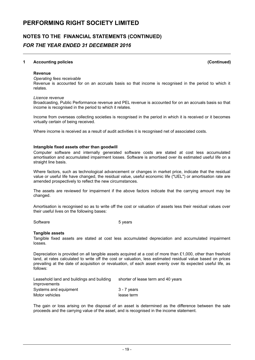# **NOTES TO THE FINANCIAL STATEMENTS (CONTINUED)** *FOR THE YEAR ENDED 31 DECEMBER 2016*

#### **1 Accounting policies (Continued)**

#### **Revenue**

#### *Operating fees receivable*

Revenue is accounted for on an accruals basis so that income is recognised in the period to which it relates.

#### *Licence revenue*

Broadcasting, Public Performance revenue and PEL revenue is accounted for on an accruals basis so that income is recognised in the period to which it relates.

Income from overseas collecting societies is recognised in the period in which it is received or it becomes virtually certain of being received.

Where income is received as a result of audit activities it is recognised net of associated costs.

#### **Intangible fixed assets other than goodwill**

Computer software and internally generated software costs are stated at cost less accumulated amortisation and accumulated impairment losses. Software is amortised over its estimated useful life on a straight line basis.

Where factors, such as technological advancement or changes in market price, indicate that the residual value or useful life have changed, the residual value, useful economic life ("UEL") or amortisation rate are amended prospectively to reflect the new circumstances.

The assets are reviewed for impairment if the above factors indicate that the carrying amount may be changed.

Amortisation is recognised so as to write off the cost or valuation of assets less their residual values over their useful lives on the following bases:

Software 5 years 5 years 5 years 5 years 5 years 5 years 5 years 5 years 5 years 5 years 5 years 5 years 5 years 5 years 5 years 5 years 5 years 5 years 5 years 5 years 5 years 5 years 5 years 5 years 5 years 5 years 5 yea

#### **Tangible assets**

Tangible fixed assets are stated at cost less accumulated depreciation and accumulated impairment losses.

Depreciation is provided on all tangible assets acquired at a cost of more than £1,000, other than freehold land, at rates calculated to write off the cost or valuation, less estimated residual value based on prices prevailing at the date of acquisition or revaluation, of each asset evenly over its expected useful life, as follows:

| Leasehold land and buildings and building | shorter of lease term and 40 years |
|-------------------------------------------|------------------------------------|
| improvements                              |                                    |
| Systems and equipment                     | 3 - 7 vears                        |
| Motor vehicles                            | lease term                         |

The gain or loss arising on the disposal of an asset is determined as the difference between the sale proceeds and the carrying value of the asset, and is recognised in the income statement.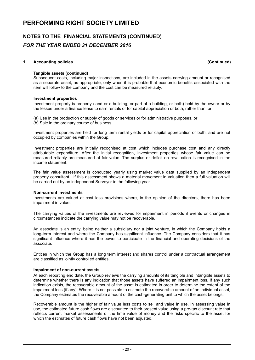#### **1 Accounting policies (Continued)**

#### **Tangible assets (continued)**

Subsequent costs, including major inspections, are included in the assets carrying amount or recognised as a separate asset, as appropriate, only when it is probable that economic benefits associated with the item will follow to the company and the cost can be measured reliably.

#### **Investment properties**

Investment property is property (land or a building, or part of a building, or both) held by the owner or by the lessee under a finance lease to earn rentals or for capital appreciation or both, rather than for:

(a) Use in the production or supply of goods or services or for administrative purposes, or

(b) Sale in the ordinary course of business.

Investment properties are held for long term rental yields or for capital appreciation or both, and are not occupied by companies within the Group.

Investment properties are initially recognised at cost which includes purchase cost and any directly attributable expenditure. After the initial recognition, investment properties whose fair value can be measured reliably are measured at fair value. The surplus or deficit on revaluation is recognised in the income statement.

The fair value assessment is conducted yearly using market value data supplied by an independent property consultant. If this assessment shows a material movement in valuation then a full valuation will be carried out by an independent Surveyor in the following year.

#### **Non-current investments**

Investments are valued at cost less provisions where, in the opinion of the directors, there has been impairment in value.

The carrying values of the investments are reviewed for impairment in periods if events or changes in circumstances indicate the carrying value may not be recoverable.

An associate is an entity, being neither a subsidiary nor a joint venture, in which the Company holds a long-term interest and where the Company has significant influence. The Company considers that it has significant influence where it has the power to participate in the financial and operating decisions of the associate.

Entities in which the Group has a long term interest and shares control under a contractual arrangement are classified as jointly controlled entities.

#### **Impairment of non-current assets**

At each reporting end date, the Group reviews the carrying amounts of its tangible and intangible assets to determine whether there is any indication that those assets have suffered an impairment loss. If any such indication exists, the recoverable amount of the asset is estimated in order to determine the extent of the impairment loss (if any). Where it is not possible to estimate the recoverable amount of an individual asset, the Company estimates the recoverable amount of the cash-generating unit to which the asset belongs.

Recoverable amount is the higher of fair value less costs to sell and value in use. In assessing value in use, the estimated future cash flows are discounted to their present value using a pre-tax discount rate that reflects current market assessments of the time value of money and the risks specific to the asset for which the estimates of future cash flows have not been adjusted.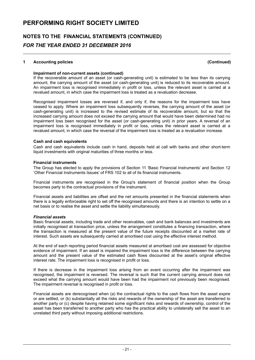# **NOTES TO THE FINANCIAL STATEMENTS (CONTINUED)** *FOR THE YEAR ENDED 31 DECEMBER 2016*

#### **1 Accounting policies (Continued)**

#### **Impairment of non-current assets (continued)**

If the recoverable amount of an asset (or cash-generating unit) is estimated to be less than its carrying amount, the carrying amount of the asset (or cash-generating unit) is reduced to its recoverable amount. An impairment loss is recognised immediately in profit or loss, unless the relevant asset is carried at a revalued amount, in which case the impairment loss is treated as a revaluation decrease.

Recognised impairment losses are reversed if, and only if, the reasons for the impairment loss have ceased to apply. Where an impairment loss subsequently reverses, the carrying amount of the asset (or cash-generating unit) is increased to the revised estimate of its recoverable amount, but so that the increased carrying amount does not exceed the carrying amount that would have been determined had no impairment loss been recognised for the asset (or cash-generating unit) in prior years. A reversal of an impairment loss is recognised immediately in profit or loss, unless the relevant asset is carried at a revalued amount, in which case the reversal of the impairment loss is treated as a revaluation increase.

#### **Cash and cash equivalents**

Cash and cash equivalents include cash in hand, deposits held at call with banks and other short-term liquid investments with original maturities of three months or less.

#### **Financial instruments**

The Group has elected to apply the provisions of Section 11 'Basic Financial Instruments' and Section 12 'Other Financial Instruments Issues' of FRS 102 to all of its financial instruments.

Financial instruments are recognised in the Group's statement of financial position when the Group becomes party to the contractual provisions of the instrument.

Financial assets and liabilities are offset and the net amounts presented in the financial statements when there is a legally enforceable right to set off the recognised amounts and there is an intention to settle on a net basis or to realise the asset and settle the liability simultaneously.

#### *Financial assets*

Basic financial assets, including trade and other receivables, cash and bank balances and investments are initially recognised at transaction price, unless the arrangement constitutes a financing transaction, where the transaction is measured at the present value of the future receipts discounted at a market rate of interest. Such assets are subsequently carried at amortised cost using the effective interest method.

At the end of each reporting period financial assets measured at amortised cost are assessed for objective evidence of impairment. If an asset is impaired the impairment loss is the difference between the carrying amount and the present value of the estimated cash flows discounted at the asset's original effective interest rate. The impairment loss is recognised in profit or loss.

If there is decrease in the impairment loss arising from an event occurring after the impairment was recognised, the impairment is reversed. The reversal is such that the current carrying amount does not exceed what the carrying amount would have been had the impairment not previously been recognised. The impairment reversal is recognised in profit or loss.

Financial assets are derecognised when (a) the contractual rights to the cash flows from the asset expire or are settled, or (b) substantially all the risks and rewards of the ownership of the asset are transferred to another party or (c) despite having retained some significant risks and rewards of ownership, control of the asset has been transferred to another party who has the practical ability to unilaterally sell the asset to an unrelated third party without imposing additional restrictions.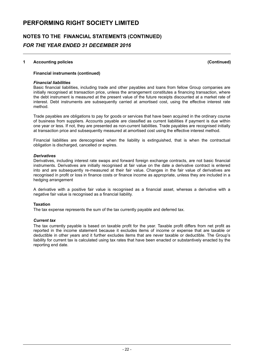# **NOTES TO THE FINANCIAL STATEMENTS (CONTINUED)** *FOR THE YEAR ENDED 31 DECEMBER 2016*

#### **1 Accounting policies (Continued)**

#### **Financial instruments (continued)**

#### *Financial liabilities*

Basic financial liabilities, including trade and other payables and loans from fellow Group companies are initially recognised at transaction price, unless the arrangement constitutes a financing transaction, where the debt instrument is measured at the present value of the future receipts discounted at a market rate of interest. Debt instruments are subsequently carried at amortised cost, using the effective interest rate method.

Trade payables are obligations to pay for goods or services that have been acquired in the ordinary course of business from suppliers. Accounts payable are classified as current liabilities if payment is due within one year or less. If not, they are presented as non-current liabilities. Trade payables are recognised initially at transaction price and subsequently measured at amortised cost using the effective interest method.

Financial liabilities are derecognised when the liability is extinguished, that is when the contractual obligation is discharged, cancelled or expires.

#### *Derivatives*

Derivatives, including interest rate swaps and forward foreign exchange contracts, are not basic financial instruments. Derivatives are initially recognised at fair value on the date a derivative contract is entered into and are subsequently re-measured at their fair value. Changes in the fair value of derivatives are recognised in profit or loss in finance costs or finance income as appropriate, unless they are included in a hedging arrangement

A derivative with a positive fair value is recognised as a financial asset, whereas a derivative with a negative fair value is recognised as a financial liability.

#### **Taxation**

The tax expense represents the sum of the tax currently payable and deferred tax.

#### *Current tax*

The tax currently payable is based on taxable profit for the year. Taxable profit differs from net profit as reported in the income statement because it excludes items of income or expense that are taxable or deductible in other years and it further excludes items that are never taxable or deductible. The Group's liability for current tax is calculated using tax rates that have been enacted or substantively enacted by the reporting end date.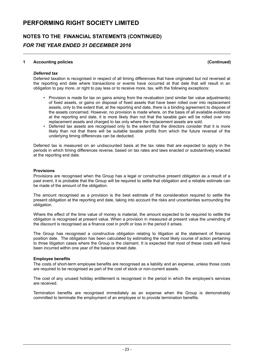# **NOTES TO THE FINANCIAL STATEMENTS (CONTINUED)** *FOR THE YEAR ENDED 31 DECEMBER 2016*

#### **1 Accounting policies (Continued)**

#### *Deferred tax*

Deferred taxation is recognised in respect of all timing differences that have originated but not reversed at the reporting end date where transactions or events have occurred at that date that will result in an obligation to pay more, or right to pay less or to receive more, tax, with the following exceptions:

- Provision is made for tax on gains arising from the revaluation (and similar fair value adjustments) of fixed assets, or gains on disposal of fixed assets that have been rolled over into replacement assets, only to the extent that, at the reporting end date, there is a binding agreement to dispose of the assets concerned. However, no provision is made where, on the basis of all available evidence at the reporting end date, it is more likely than not that the taxable gain will be rolled over into replacement assets and charged to tax only where the replacement assets are sold.
- Deferred tax assets are recognised only to the extent that the directors consider that it is more likely than not that there will be suitable taxable profits from which the future reversal of the underlying timing differences can be deducted.

Deferred tax is measured on an undiscounted basis at the tax rates that are expected to apply in the periods in which timing differences reverse, based on tax rates and laws enacted or substantively enacted at the reporting end date.

#### **Provisions**

Provisions are recognised when the Group has a legal or constructive present obligation as a result of a past event, it is probable that the Group will be required to settle that obligation and a reliable estimate can be made of the amount of the obligation.

The amount recognised as a provision is the best estimate of the consideration required to settle the present obligation at the reporting end date, taking into account the risks and uncertainties surrounding the obligation.

Where the effect of the time value of money is material, the amount expected to be required to settle the obligation is recognised at present value. When a provision in measured at present value the unwinding of the discount is recognised as a finance cost in profit or loss in the period it arises.

The Group has recognised a constructive obligation relating to litigation at the statement of financial position date. The obligation has been calculated by estimating the most likely course of action pertaining to three litigation cases where the Group is the claimant. It is expected that most of these costs will have been incurred within one year of the balance sheet date.

#### **Employee benefits**

The costs of short-term employee benefits are recognised as a liability and an expense, unless those costs are required to be recognised as part of the cost of stock or non-current assets.

The cost of any unused holiday entitlement is recognised in the period in which the employee's services are received.

Termination benefits are recognised immediately as an expense when the Group is demonstrably committed to terminate the employment of an employee or to provide termination benefits.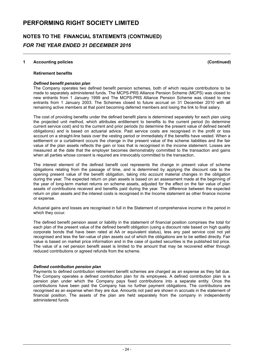#### **1 Accounting policies (Continued)**

#### **Retirement benefits**

#### *Defined benefit pension plan*

The Company operates two defined benefit pension schemes, both of which require contributions to be made to separately administered funds. The MCPS-PRS Alliance Pension Scheme (MCPS) was closed to new entrants from 1 January 1999 and The MCPS-PRS Alliance Pension Scheme was closed to new entrants from 1 January 2003. The Schemes closed to future accrual on 31 December 2010 with all remaining active members at that point becoming deferred members and losing the link to final salary.

The cost of providing benefits under the defined benefit plans is determined separately for each plan using the projected unit method, which attributes entitlement to benefits to the current period (to determine current service cost) and to the current and prior periods (to determine the present value of defined benefit obligations) and is based on actuarial advice. Past service costs are recognised in the profit or loss account on a straight-line basis over the vesting period or immediately if the benefits have vested. When a settlement or a curtailment occurs the change in the present value of the scheme liabilities and the fair value of the plan assets reflects the gain or loss that is recognised in the income statement. Losses are measured at the date that the employer becomes demonstrably committed to the transaction and gains when all parties whose consent is required are irrevocably committed to the transaction.

The interest element of the defined benefit cost represents the change in present value of scheme obligations relating from the passage of time, and is determined by applying the discount rate to the opening present value of the benefit obligation, taking into account material changes in the obligation during the year. The expected return on plan assets is based on an assessment made at the beginning of the year of long-term market returns on scheme assets, adjusted for the effect on the fair value of plan assets of contributions received and benefits paid during the year. The difference between the expected return on plan assets and the interest costs is recognised in the Income statement as other finance income or expense.

Actuarial gains and losses are recognised in full in the Statement of comprehensive income in the period in which they occur.

The defined benefit pension asset or liability in the statement of financial position comprises the total for each plan of the present value of the defined benefit obligation (using a discount rate based on high quality corporate bonds that have been rated at AA or equivalent status), less any past service cost not yet recognised and less the fair-value of plan assets out of which the obligations are to be settled directly. Fair value is based on market price information and in the case of quoted securities is the published bid price. The value of a net pension benefit asset is limited to the amount that may be recovered either through reduced contributions or agreed refunds from the scheme.

#### *Defined contribution pension plan*

Payments to defined contribution retirement benefit schemes are charged as an expense as they fall due. The Company operates a defined contribution plan for its employees. A defined contribution plan is a pension plan under which the Company pays fixed contributions into a separate entity. Once the contributions have been paid the Company has no further payment obligations. The contributions are recognised as an expense when they are due. Amounts not paid are shown in accruals in the statement of financial position. The assets of the plan are held separately from the company in independently administered funds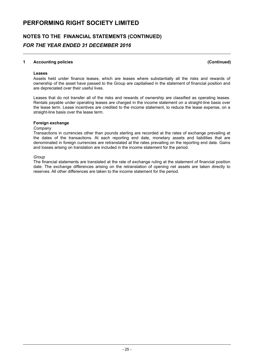# **NOTES TO THE FINANCIAL STATEMENTS (CONTINUED)** *FOR THE YEAR ENDED 31 DECEMBER 2016*

#### **1 Accounting policies (Continued)**

**Leases**

Assets held under finance leases, which are leases where substantially all the risks and rewards of ownership of the asset have passed to the Group are capitalised in the statement of financial position and are depreciated over their useful lives.

Leases that do not transfer all of the risks and rewards of ownership are classified as operating leases. Rentals payable under operating leases are charged in the income statement on a straight-line basis over the lease term. Lease incentives are credited to the income statement, to reduce the lease expense, on a straight-line basis over the lease term.

#### **Foreign exchange**

#### *Company*

Transactions in currencies other than pounds sterling are recorded at the rates of exchange prevailing at the dates of the transactions. At each reporting end date, monetary assets and liabilities that are denominated in foreign currencies are retranslated at the rates prevailing on the reporting end date. Gains and losses arising on translation are included in the income statement for the period.

#### *Group*

The financial statements are translated at the rate of exchange ruling at the statement of financial position date. The exchange differences arising on the retranslation of opening net assets are taken directly to reserves. All other differences are taken to the income statement for the period.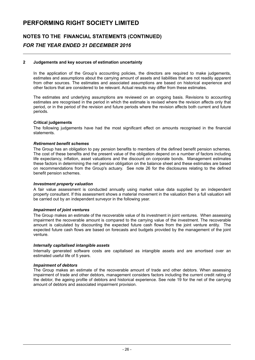# **NOTES TO THE FINANCIAL STATEMENTS (CONTINUED)** *FOR THE YEAR ENDED 31 DECEMBER 2016*

#### **2 Judgements and key sources of estimation uncertainty**

In the application of the Group's accounting policies, the directors are required to make judgements, estimates and assumptions about the carrying amount of assets and liabilities that are not readily apparent from other sources. The estimates and associated assumptions are based on historical experience and other factors that are considered to be relevant. Actual results may differ from these estimates.

The estimates and underlying assumptions are reviewed on an ongoing basis. Revisions to accounting estimates are recognised in the period in which the estimate is revised where the revision affects only that period, or in the period of the revision and future periods where the revision affects both current and future periods.

#### **Critical judgements**

The following judgements have had the most significant effect on amounts recognised in the financial statements.

#### *Retirement benefit schemes*

The Group has an obligation to pay pension benefits to members of the defined benefit pension schemes. The cost of these benefits and the present value of the obligation depend on a number of factors including life expectancy, inflation, asset valuations and the discount on corporate bonds. Management estimates these factors in determining the net pension obligation on the balance sheet and these estimates are based on recommendations from the Group's actuary. See note 26 for the disclosures relating to the defined benefit pension schemes.

#### *Investment property valuation*

A fair value assessment is conducted annually using market value data supplied by an independent property consultant. If this assessment shows a material movement in the valuation then a full valuation will be carried out by an independent surveyor in the following year.

#### *Impairment of joint ventures*

The Group makes an estimate of the recoverable value of its investment in joint ventures. When assessing impairment the recoverable amount is compared to the carrying value of the investment. The recoverable amount is calculated by discounting the expected future cash flows from the joint venture entity. The expected future cash flows are based on forecasts and budgets provided by the management of the joint venture.

#### *Internally capitalised intangible assets*

Internally generated software costs are capitalised as intangible assets and are amortised over an estimated useful life of 5 years.

#### *Impairment of debtors*

The Group makes an estimate of the recoverable amount of trade and other debtors. When assessing impairment of trade and other debtors, management considers factors including the current credit rating of the debtor, the ageing profile of debtors and historical experience. See note 19 for the net of the carrying amount of debtors and associated impairment provision.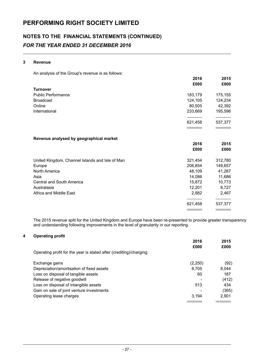# **NOTES TO THE FINANCIAL STATEMENTS (CONTINUED)** *FOR THE YEAR ENDED 31 DECEMBER 2016*

#### **3 Revenue**

An analysis of the Group's revenue is as follows:

|                                                 | 2016    | 2015    |
|-------------------------------------------------|---------|---------|
| <b>Turnover</b>                                 | £000    | £000    |
| <b>Public Performance</b>                       | 183,179 | 175,155 |
|                                                 |         |         |
| <b>Broadcast</b>                                | 124,105 | 124,234 |
| Online                                          | 80,505  | 42,392  |
| International                                   | 233,669 | 195,596 |
|                                                 | 621,458 | 537,377 |
|                                                 |         |         |
| Revenue analysed by geographical market         |         |         |
|                                                 | 2016    | 2015    |
|                                                 | £000    | £000    |
| United Kingdom, Channel Islands and Isle of Man | 321,454 | 312,780 |
| Europe                                          | 206,854 | 149,657 |
| North America                                   | 48,109  | 41,287  |
| Asia                                            | 14,086  | 11,686  |
| <b>Central and South America</b>                | 15,872  | 10,773  |
| Australasia                                     | 12,201  | 8,727   |
| Africa and Middle East                          | 2,882   | 2,467   |
|                                                 | 621,458 | 537,377 |
|                                                 |         |         |

The 2015 revenue split for the United Kingdom and Europe have been re-presented to provide greater transparency and understanding following improvements in the level of granularity in our reporting.

#### **4 Operating profit**

|                                                                     | 2016    | 2015  |
|---------------------------------------------------------------------|---------|-------|
|                                                                     | £000    | £000  |
| Operating profit for the year is stated after (crediting)/charging: |         |       |
| Exchange gains                                                      | (2,250) | (92)  |
| Depreciation/amortisation of fixed assets                           | 8.705   | 8.044 |
| Loss on disposal of tangible assets                                 | 60      | 187   |
| Release of negative goodwill                                        |         | (412) |
| Loss on disposal of intangible assets                               | 513     | 434   |
| Gain on sale of joint venture investments                           |         | (365) |
| Operating lease charges                                             | 3.194   | 2,901 |
|                                                                     |         |       |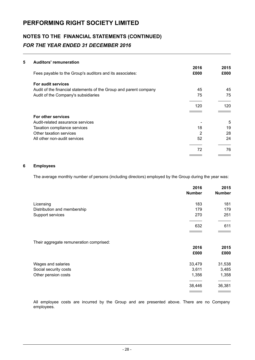# **NOTES TO THE FINANCIAL STATEMENTS (CONTINUED)** *FOR THE YEAR ENDED 31 DECEMBER 2016*

#### **5 Auditors' remuneration**

|                                                                   | 2016 | 2015 |
|-------------------------------------------------------------------|------|------|
| Fees payable to the Group's auditors and its associates:          | £000 | £000 |
| For audit services                                                |      |      |
| Audit of the financial statements of the Group and parent company | 45   | 45   |
| Audit of the Company's subsidiaries                               | 75   | 75   |
|                                                                   | 120  | 120  |
|                                                                   |      |      |
| For other services                                                |      |      |
| Audit-related assurance services                                  |      | 5    |
| Taxation compliance services                                      | 18   | 19   |
| Other taxation services                                           | 2    | 28   |
| All other non-audit services                                      | 52   | 24   |
|                                                                   |      |      |
|                                                                   | 72   | 76   |

#### **6 Employees**

The average monthly number of persons (including directors) employed by the Group during the year was:

|                                         | 2016<br><b>Number</b> | 2015<br><b>Number</b> |
|-----------------------------------------|-----------------------|-----------------------|
| Licensing                               | 183                   | 181                   |
| Distribution and membership             | 179                   | 179                   |
| Support services                        | 270                   | 251                   |
|                                         | 632                   | 611                   |
|                                         |                       |                       |
| Their aggregate remuneration comprised: |                       |                       |
|                                         | 2016                  | 2015                  |
|                                         | £000                  | £000                  |
| Wages and salaries                      | 33,479                | 31,538                |
| Social security costs                   | 3,611                 | 3,485                 |
| Other pension costs                     | 1,356                 | 1,358                 |
|                                         | 38,446                | 36,381                |
|                                         |                       |                       |

All employee costs are incurred by the Group and are presented above. There are no Company employees.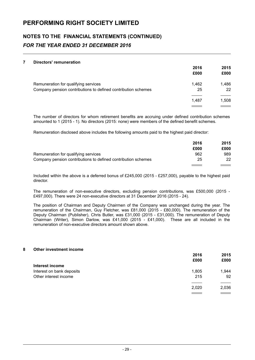#### **7 Directors' remuneration**

|                                                               | 2016  | 2015  |
|---------------------------------------------------------------|-------|-------|
|                                                               | £000  | £000  |
| Remuneration for qualifying services                          | 1.462 | 1,486 |
| Company pension contributions to defined contribution schemes | 25    | 22    |
|                                                               |       |       |
|                                                               | 1.487 | 1.508 |
|                                                               |       |       |

The number of directors for whom retirement benefits are accruing under defined contribution schemes amounted to 1 (2015 - 1). No directors (2015: none) were members of the defined benefit schemes.

Remuneration disclosed above includes the following amounts paid to the highest paid director:

|                                                               | 2016 | 2015 |
|---------------------------------------------------------------|------|------|
|                                                               | £000 | £000 |
| Remuneration for qualifying services                          | 962  | 989  |
| Company pension contributions to defined contribution schemes | 25   | 22   |
|                                                               |      |      |

Included within the above is a deferred bonus of £245,000 (2015 - £257,000), payable to the highest paid director.

The remuneration of non-executive directors, excluding pension contributions, was £500,000 (2015 - £497,000). There were 24 non-executive directors at 31 December 2016 (2015 - 24).

The position of Chairman and Deputy Chairmen of the Company was unchanged during the year. The remuneration of the Chairman, Guy Fletcher, was £81,000 (2015 - £80,000). The remuneration of the Deputy Chairman (Publisher), Chris Butler, was £31,000 (2015 - £31,000). The remuneration of Deputy Chairman (Writer), Simon Darlow, was £41,000 (2015 - £41,000). These are all included in the remuneration of non-executive directors amount shown above.

#### **8 Other investment income**

|                           | 2016  | 2015  |
|---------------------------|-------|-------|
|                           | £000  | £000  |
| Interest income           |       |       |
| Interest on bank deposits | 1,805 | 1,944 |
| Other interest income     | 215   | 92    |
|                           |       |       |
|                           | 2,020 | 2,036 |
|                           |       |       |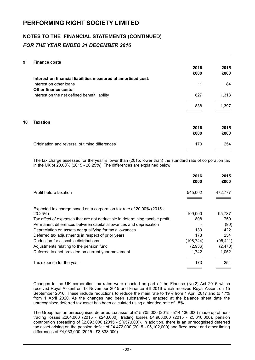# **NOTES TO THE FINANCIAL STATEMENTS (CONTINUED)** *FOR THE YEAR ENDED 31 DECEMBER 2016*

#### **9 Finance costs**

**10 Taxation**

|                                                                                                                  | 2016<br>£000 | 2015<br>£000 |
|------------------------------------------------------------------------------------------------------------------|--------------|--------------|
| Interest on financial liabilities measured at amortised cost:<br>Interest on other loans<br>Other finance costs: | 11           | 84           |
| Interest on the net defined benefit liability                                                                    | 827          | 1,313        |
|                                                                                                                  | 838          | 1,397        |
| <b>Taxation</b>                                                                                                  | 2016<br>£000 | 2015<br>£000 |
| Origination and reversal of timing differences                                                                   | 173          | 254          |

The tax charge assessed for the year is lower than (2015: lower than) the standard rate of corporation tax in the UK of 20.00% (2015 - 20.25%). The differences are explained below:

|                                                                              | 2016<br>£000 | 2015<br>£000 |
|------------------------------------------------------------------------------|--------------|--------------|
| Profit before taxation                                                       | 545,002      | 472,777      |
| Expected tax charge based on a corporation tax rate of 20.00% (2015 -        |              |              |
| $20.25\%)$                                                                   | 109,000      | 95,737       |
| Tax effect of expenses that are not deductible in determining taxable profit | 808          | 759          |
| Permanent differences between capital allowances and depreciation            |              | (90)         |
| Depreciation on assets not qualifying for tax allowances                     | 130          | 422          |
| Deferred tax adjustments in respect of prior years                           | 173          | 254          |
| Deduction for allocable distributions                                        | (108, 744)   | (95, 411)    |
| Adjustments relating to the pension fund                                     | (2,936)      | (2,470)      |
| Deferred tax not provided on current year movement                           | 1,742        | 1,052        |
| Tax expense for the year                                                     | 173          | 254          |
|                                                                              |              |              |

Changes to the UK corporation tax rates were enacted as part of the Finance (No.2) Act 2015 which received Royal Assent on 18 November 2015 and Finance Bill 2016 which received Royal Assent on 15 September 2016. These include reductions to reduce the main rate to 19% from 1 April 2017 and to 17% from 1 April 2020. As the changes had been substantively enacted at the balance sheet date the unrecognised deferred tax asset has been calculated using a blended rate of 18%.

The Group has an unrecognised deferred tax asset of £15,705,000 (2015 - £14,136,000) made up of nontrading losses £204,000 (2015 - £243,000), trading losses £4,903,000 (2015 - £5,610,000), pension contribution spreading of £2,093,000 (2015 - £(657,000)). In addition, there is an unrecognised deferred tax asset arising on the pension deficit of £4,472,000 (2015 - £5,102,000) and fixed asset and other timing differences of £4,033,000 (2015 - £3,838,000).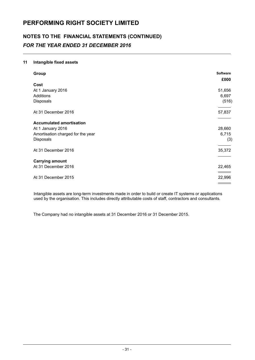# **NOTES TO THE FINANCIAL STATEMENTS (CONTINUED)** *FOR THE YEAR ENDED 31 DECEMBER 2016*

#### **11 Intangible fixed assets**

| Group                             | <b>Software</b><br>£000 |
|-----------------------------------|-------------------------|
| Cost                              |                         |
| At 1 January 2016<br>Additions    | 51,656<br>6,697         |
| Disposals                         | (516)                   |
| At 31 December 2016               | 57,837                  |
| <b>Accumulated amortisation</b>   |                         |
| At 1 January 2016                 | 28,660                  |
| Amortisation charged for the year | 6,715                   |
| Disposals                         | (3)                     |
| At 31 December 2016               | 35,372                  |
| <b>Carrying amount</b>            |                         |
| At 31 December 2016               | 22,465                  |
| At 31 December 2015               | 22,996                  |
|                                   |                         |

Intangible assets are long-term investments made in order to build or create IT systems or applications used by the organisation. This includes directly attributable costs of staff, contractors and consultants.

The Company had no intangible assets at 31 December 2016 or 31 December 2015.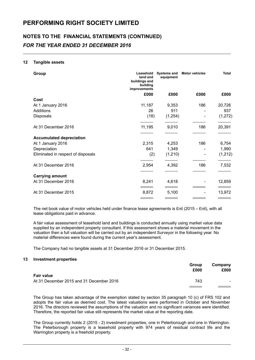# **NOTES TO THE FINANCIAL STATEMENTS (CONTINUED)** *FOR THE YEAR ENDED 31 DECEMBER 2016*

#### **12 Tangible assets**

| Group                              | Leasehold<br>land and<br>buildings and<br>building<br>improvements | <b>Systems and</b><br>equipment | <b>Motor vehicles</b> | <b>Total</b> |
|------------------------------------|--------------------------------------------------------------------|---------------------------------|-----------------------|--------------|
|                                    | £000                                                               | £000                            | £000                  | £000         |
| Cost                               |                                                                    |                                 |                       |              |
| At 1 January 2016                  | 11,187                                                             | 9,353                           | 186                   | 20,726       |
| Additions                          | 26                                                                 | 911                             |                       | 937          |
| Disposals                          | (18)                                                               | (1,254)                         |                       | (1, 272)     |
| At 31 December 2016                | 11,195                                                             | 9,010                           | 186                   | 20,391       |
| <b>Accumulated depreciation</b>    |                                                                    |                                 |                       |              |
| At 1 January 2016                  | 2,315                                                              | 4,253                           | 186                   | 6,754        |
| Depreciation                       | 641                                                                | 1,349                           |                       | 1,990        |
| Eliminated in respect of disposals | (2)                                                                | (1, 210)                        |                       | (1, 212)     |
| At 31 December 2016                | 2,954                                                              | 4,392                           | 186                   | 7,532        |
| <b>Carrying amount</b>             |                                                                    |                                 |                       |              |
| At 31 December 2016                | 8,241                                                              | 4,618                           |                       | 12,859       |
| At 31 December 2015                | 8,872                                                              | 5,100                           |                       | 13,972       |
|                                    |                                                                    |                                 |                       |              |

The net book value of motor vehicles held under finance lease agreements is  $Enil (2015 - Enil)$ , with all lease obligations paid in advance.

A fair value assessment of leasehold land and buildings is conducted annually using market value data supplied by an independent property consultant. If this assessment shows a material movement in the valuation then a full valuation will be carried out by an independent Surveyor in the following year. No material differences were found during the current year's assessment.

The Company had no tangible assets at 31 December 2016 or 31 December 2015.

#### **13 Investment properties**

|                                          | Group<br>£000 | Company<br>£000          |
|------------------------------------------|---------------|--------------------------|
| <b>Fair value</b>                        |               |                          |
| At 31 December 2015 and 31 December 2016 | 743           | $\overline{\phantom{0}}$ |

The Group has taken advantage of the exemption stated by section 35 paragraph 10 (c) of FRS 102 and adopts the fair value as deemed cost. The latest valuations were performed in October and November 2016. The directors reviewed the assumptions of the valuation and no significant variances were identified. Therefore, the reported fair value still represents the market value at the reporting date.

The Group currently holds 2 (2015 - 2) investment properties, one in Peterborough and one in Warrington. The Peterborough property is a leasehold property with 974 years of residual contract life and the Warrington property is a freehold property.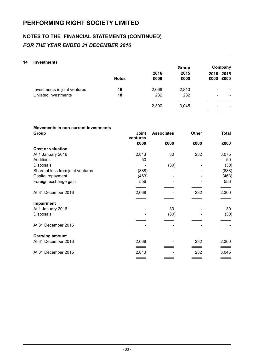# **NOTES TO THE FINANCIAL STATEMENTS (CONTINUED)**  *FOR THE YEAR ENDED 31 DECEMBER 2016*

#### **14 Investments**

|                               |              |                 | Group        | Company                       |
|-------------------------------|--------------|-----------------|--------------|-------------------------------|
|                               | <b>Notes</b> | 2016<br>£000    | 2015<br>£000 | 2016 2015<br>£000<br>£000     |
| Investments in joint ventures | 16           | 2,068           | 2,813        | $\overline{\phantom{0}}$<br>- |
| Unlisted investments          | 18           | 232             | 232          | $\overline{\phantom{0}}$      |
|                               |              |                 |              |                               |
|                               |              | 2,300<br>______ | 3,045        | $\overline{\phantom{0}}$      |

# **Movements in non-current investments**

| Group                             | Joint<br>ventures | <b>Associates</b> | <b>Other</b> | <b>Total</b> |
|-----------------------------------|-------------------|-------------------|--------------|--------------|
|                                   | £000              | £000              | £000         | £000         |
| <b>Cost or valuation</b>          |                   |                   |              |              |
| At 1 January 2016                 | 2,813             | 30                | 232          | 3,075        |
| Additions                         | 50                |                   |              | 50           |
| <b>Disposals</b>                  |                   | (30)              |              | (30)         |
| Share of loss from joint ventures | (888)             |                   |              | (888)        |
| Capital repayment                 | (463)             |                   |              | (463)        |
| Foreign exchange gain             | 556               |                   |              | 556          |
|                                   |                   |                   |              |              |
| At 31 December 2016               | 2,068             |                   | 232          | 2,300        |
|                                   |                   |                   |              |              |
| <b>Impairment</b>                 |                   |                   |              |              |
| At 1 January 2016                 |                   | 30                |              | 30           |
| Disposals                         |                   | (30)              |              | (30)         |
|                                   |                   |                   |              |              |
| At 31 December 2016               |                   |                   |              |              |
|                                   |                   |                   |              |              |
| <b>Carrying amount</b>            |                   |                   |              |              |
| At 31 December 2016               | 2,068             |                   | 232          | 2,300        |
|                                   |                   |                   |              |              |
| At 31 December 2015               | 2,813             |                   | 232          | 3,045        |
|                                   |                   |                   |              |              |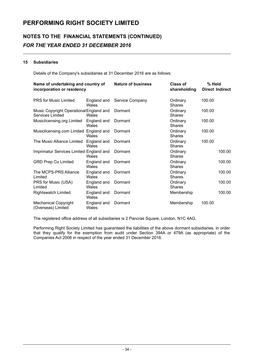# **NOTES TO THE FINANCIAL STATEMENTS (CONTINUED)** *FOR THE YEAR ENDED 31 DECEMBER 2016*

#### **15 Subsidiaries**

Details of the Company's subsidiaries at 31 December 2016 are as follows:

| Name of undertaking and country of<br>incorporation or residency |                      | <b>Nature of business</b> | <b>Class of</b><br>shareholding | % Held<br><b>Direct Indirect</b> |
|------------------------------------------------------------------|----------------------|---------------------------|---------------------------------|----------------------------------|
| <b>PRS</b> for Music Limited                                     | England and<br>Wales | Service Company           | Ordinary<br><b>Shares</b>       | 100.00                           |
| Music Copyright Operational England and<br>Services Limited      | Wales                | Dormant                   | Ordinary<br><b>Shares</b>       | 100.00                           |
| Musiclicensing.org Limited                                       | England and<br>Wales | Dormant                   | Ordinary<br><b>Shares</b>       | 100.00                           |
| Musiclicensing.com Limited England and                           | Wales                | Dormant                   | Ordinary<br><b>Shares</b>       | 100.00                           |
| The Music Alliance Limited                                       | England and<br>Wales | Dormant                   | Ordinary<br><b>Shares</b>       | 100.00                           |
| Imprimatur Services Limited England and                          | Wales                | Dormant                   | Ordinary<br><b>Shares</b>       | 100.00                           |
| <b>GRD Prep Co Limited</b>                                       | England and<br>Wales | Dormant                   | Ordinary<br><b>Shares</b>       | 100.00                           |
| The MCPS-PRS Alliance<br>Limited                                 | England and<br>Wales | Dormant                   | Ordinary<br><b>Shares</b>       | 100.00                           |
| PRS for Music (USA)<br>Limited                                   | England and<br>Wales | Dormant                   | Ordinary<br><b>Shares</b>       | 100.00                           |
| <b>Rightswatch Limited</b>                                       | England and<br>Wales | Dormant                   | Membership                      | 100.00                           |
| <b>Mechanical Copyright</b><br>(Overseas) Limited                | England and<br>Wales | Dormant                   | Membership                      | 100.00                           |

The registered office address of all subsidiaries is 2 Pancras Square, London, N1C 4AG.

Performing Right Society Limited has guaranteed the liabilities of the above dormant subsidiaries, in order that they qualify for the exemption from audit under Section 394A or 479A (as appropriate) of the Companies Act 2006 in respect of the year ended 31 December 2016.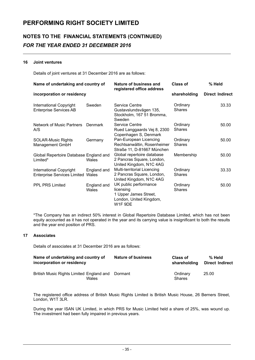# **NOTES TO THE FINANCIAL STATEMENTS (CONTINUED)** *FOR THE YEAR ENDED 31 DECEMBER 2016*

#### **16 Joint ventures**

Details of joint ventures at 31 December 2016 are as follows:

| Name of undertaking and country of                                         |                      | Nature of business and<br>registered office address                                               | <b>Class of</b>           | % Held                 |
|----------------------------------------------------------------------------|----------------------|---------------------------------------------------------------------------------------------------|---------------------------|------------------------|
| incorporation or residency                                                 |                      |                                                                                                   | shareholding              | <b>Direct Indirect</b> |
| <b>International Copyright</b><br><b>Enterprise Services AB</b>            | Sweden               | Service Centre<br>Gustavslundsvägen 135,<br>Stockholm, 167 51 Bromma,<br>Sweden                   | Ordinary<br><b>Shares</b> | 33.33                  |
| <b>Network of Music Partners</b><br>A/S                                    | Denmark              | <b>Service Centre</b><br>Rued Langgaards Vej 8, 2300<br>Copenhagen S, Denmark                     | Ordinary<br><b>Shares</b> | 50.00                  |
| <b>SOLAR-Music Rights</b><br>Management GmbH                               | Germany              | Pan-European Licencing<br>Rechtsanwältin, Rosenheimer<br>Straße 11, D-81667 München               | Ordinary<br><b>Shares</b> | 50.00                  |
| Global Repertoire Database England and<br>Limited*                         | Wales                | Global repertoire database<br>2 Pancras Square, London,<br>United Kingdom, N1C 4AG                | Membership                | 50.00                  |
| <b>International Copyright</b><br><b>Enterprise Services Limited Wales</b> | England and          | Multi-territorial Licencing<br>2 Pancras Square, London,<br>United Kingdom, N1C 4AG               | Ordinary<br><b>Shares</b> | 33.33                  |
| <b>PPL PRS Limited</b>                                                     | England and<br>Wales | UK public performance<br>licensing<br>1 Upper James Street,<br>London, United Kingdom,<br>W1F 9DE | Ordinary<br><b>Shares</b> | 50.00                  |

\*The Company has an indirect 50% interest in Global Repertoire Database Limited, which has not been equity accounted as it has not operated in the year and its carrying value is insignificant to both the results and the year end position of PRS.

#### **17 Associates**

Details of associates at 31 December 2016 are as follows:

| Name of undertaking and country of                | <b>Nature of business</b> | <b>Class of</b>    | % Held                 |
|---------------------------------------------------|---------------------------|--------------------|------------------------|
| incorporation or residency                        |                           | shareholding       | <b>Direct Indirect</b> |
| British Music Rights Limited England and<br>Wales | Dormant                   | Ordinary<br>Shares | 25.00                  |

The registered office address of British Music Rights Limited is British Music House, 26 Berners Street, London, W1T 3LR.

During the year ISAN UK Limited, in which PRS for Music Limited held a share of 25%, was wound up. The investment had been fully impaired in previous years.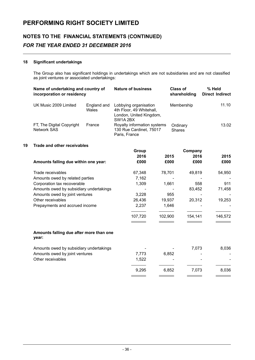# **NOTES TO THE FINANCIAL STATEMENTS (CONTINUED)**  *FOR THE YEAR ENDED 31 DECEMBER 2016*

#### **18 Significant undertakings**

The Group also has significant holdings in undertakings which are not subsidiaries and are not classified as joint ventures or associated undertakings:

|    | Name of undertaking and country of<br>incorporation or residency |                      | <b>Nature of business</b>                                                               |                          | <b>Class of</b><br>shareholding | % Held<br><b>Direct Indirect</b> |
|----|------------------------------------------------------------------|----------------------|-----------------------------------------------------------------------------------------|--------------------------|---------------------------------|----------------------------------|
|    | UK Music 2009 Limited                                            | England and<br>Wales | Lobbying organisation<br>4th Floor, 49 Whitehall,<br>London, United Kingdom,<br>SW1A2BX |                          | Membership                      | 11.10                            |
|    | FT, The Digital Copyright<br><b>Network SAS</b>                  | France               | Royalty information systems<br>130 Rue Cardinet, 75017<br>Paris, France                 | <b>Shares</b>            | Ordinary                        | 13.02                            |
| 19 | <b>Trade and other receivables</b>                               |                      |                                                                                         |                          |                                 |                                  |
|    |                                                                  |                      | Group                                                                                   |                          | Company                         |                                  |
|    |                                                                  |                      | 2016                                                                                    | 2015                     | 2016                            | 2015                             |
|    | Amounts falling due within one year:                             |                      | £000                                                                                    | £000                     | £000                            | £000                             |
|    | Trade receivables                                                |                      | 67,348                                                                                  | 78,701                   | 49,819                          | 54,950                           |
|    | Amounts owed by related parties                                  |                      | 7,162                                                                                   |                          |                                 |                                  |
|    | Corporation tax recoverable                                      |                      | 1,309                                                                                   | 1,661                    | 558                             | 911                              |
|    | Amounts owed by subsidiary undertakings                          |                      |                                                                                         |                          | 83,452                          | 71,458                           |
|    | Amounts owed by joint ventures                                   |                      | 3,228                                                                                   | 955                      |                                 |                                  |
|    | Other receivables                                                |                      | 26,436                                                                                  | 19,937                   | 20,312                          | 19,253                           |
|    | Prepayments and accrued income                                   |                      | 2,237                                                                                   | 1,646                    |                                 |                                  |
|    |                                                                  |                      | 107,720                                                                                 | 102,900                  | 154,141                         | 146,572                          |
|    |                                                                  |                      | $  -$                                                                                   | $\overline{\phantom{a}}$ |                                 |                                  |
|    | Amounts falling due after more than one<br>year:                 |                      |                                                                                         |                          |                                 |                                  |
|    | Amounts owed by subsidiary undertakings                          |                      |                                                                                         |                          | 7,073                           | 8,036                            |
|    | Amounts owed by joint ventures                                   |                      | 7,773                                                                                   | 6,852                    |                                 |                                  |
|    | Other receivables                                                |                      | 1,522                                                                                   |                          |                                 |                                  |
|    |                                                                  |                      | 9,295                                                                                   | 6,852                    | 7,073                           | 8,036                            |
|    |                                                                  |                      |                                                                                         |                          |                                 |                                  |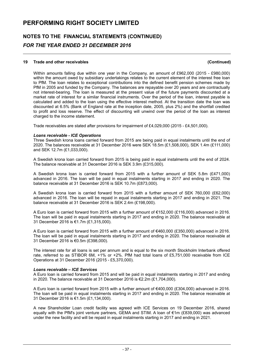# **NOTES TO THE FINANCIAL STATEMENTS (CONTINUED)** *FOR THE YEAR ENDED 31 DECEMBER 2016*

#### **19 Trade and other receivables (Continued)**

Within amounts falling due within one year in the Company, an amount of £962,000 (2015 - £980,000) within the amount owed by subsidiary undertakings relates to the current element of the interest free loan to PfM. The loan relates to exceptional contributions into the defined benefit pension schemes made by PfM in 2005 and funded by the Company. The balances are repayable over 20 years and are contractually not interest-bearing. The loan is measured at the present value of the future payments discounted at a market rate of interest for a similar financial instruments. Over the period of the loan, interest payable is calculated and added to the loan using the effective interest method. At the transition date the loan was discounted at 6.5% (Bank of England rate at the inception date, 2005, plus 2%) and the shortfall credited to profit and loss reserve. The effect of discounting will unwind over the period of the loan as interest charged to the income statement.

Trade receivables are stated after provisions for impairment of £4,029,000 (2015 - £4,501,000).

#### *Loans receivable - ICE Operations*

Three Swedish krona loans carried forward from 2015 are being paid in equal instalments until the end of 2020. The balances receivable at 31 December 2016 were SEK 18.5m (£1,508,000), SEK 1.4m (£111,000) and SEK 12.7m (£1,033,000).

A Swedish krona loan carried forward from 2015 is being paid in equal instalments until the end of 2024. The balance receivable at 31 December 2016 is SEK 3.9m (£315,000).

A Swedish krona loan is carried forward from 2015 with a further amount of SEK 5.8m (£471,000) advanced in 2016. The loan will be paid in equal instalments starting in 2017 and ending in 2020. The balance receivable at 31 December 2016 is SEK 10.7m (£873,000).

A Swedish krona loan is carried forward from 2015 with a further amount of SEK 760,000 (£62,000) advanced in 2016. The loan will be repaid in equal instalments starting in 2017 and ending in 2021. The balance receivable at 31 December 2016 is SEK 2.4m (£198,000).

A Euro loan is carried forward from 2015 with a further amount of €152,000 (£116,000) advanced in 2016. The loan will be paid in equal instalments starting in 2017 and ending in 2020. The balance receivable at 31 December 2016 is €1.7m (£1,315,000).

A Euro loan is carried forward from 2015 with a further amount of €460,000 (£350,000) advanced in 2016. The loan will be paid in equal instalments starting in 2017 and ending in 2020. The balance receivable at 31 December 2016 is €0.5m (£398,000).

The interest rate for all loans is set per annum and is equal to the six month Stockholm Interbank offered rate, referred to as STIBOR 6M, +1% or +2%. PfM had total loans of £5,751,000 receivable from ICE Operations at 31 December 2016 (2015 - £5,370,000).

#### *Loans receivable – ICE Services*

A Euro loan is carried forward from 2015 and will be paid in equal instalments starting in 2017 and ending in 2020. The balance receivable at 31 December 2016 is €2.2m (£1,704,000).

A Euro loan is carried forward from 2015 with a further amount of €400,000 (£304,000) advanced in 2016. The loan will be paid in equal instalments starting in 2017 and ending in 2020. The balance receivable at 31 December 2016 is €1.5m (£1,134,000).

A new Shareholder Loan credit facility was agreed with ICE Services on 19 December 2016, shared equally with the PfM's joint venture partners, GEMA and STIM. A loan of €1m (£839,000) was advanced under the new facility and will be repaid in equal instalments starting in 2017 and ending in 2021.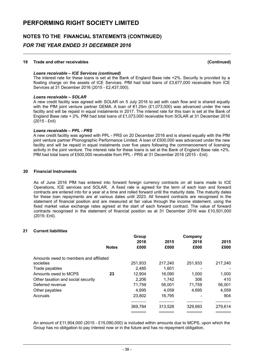# **NOTES TO THE FINANCIAL STATEMENTS (CONTINUED)** *FOR THE YEAR ENDED 31 DECEMBER 2016*

#### **19 Trade and other receivables (Continued)**

#### *Loans receivable – ICE Services (continued)*

The interest rate for these loans is set at the Bank of England Base rate +2%. Security is provided by a floating charge on the assets of ICE Services. PfM had total loans of £3,677,000 receivable from ICE Services at 31 December 2016 (2015 - £2,437,000).

#### *Loans receivable – SOLAR*

A new credit facility was agreed with SOLAR on 5 July 2016 to aid with cash flow and is shared equally with the PfM joint venture partner GEMA. A loan of  $\epsilon$ 1.25m (£1,073,000) was advanced under the new facility and will be repaid in equal instalments in 2017. The interest rate for this loan is set at the Bank of England Base rate + 2%. PfM had total loans of £1,073,000 receivable from SOLAR at 31 December 2016 (2015 - £nil)

#### *Loans receivable – PPL - PRS*

A new credit facility was agreed with PPL - PRS on 20 December 2016 and is shared equally with the PfM joint venture partner Phonographic Performance Limited. A loan of £500,000 was advanced under the new facility and will be repaid in equal instalments over five years following the commencement of licensing activity in the joint venture. The interest rate for these loans is set at the Bank of England Base rate +2%. PfM had total loans of £500,000 receivable from PPL - PRS at 31 December 2016 (2015 - £nil).

#### **20 Financial Instruments**

As of June 2016 PfM has entered into forward foreign currency contracts on all loans made to ICE Operations, ICE services and SOLAR. A fixed rate is agreed for the term of each loan and forward contracts are entered into for a year at a time and rolled forward until the maturity date. The maturity dates for these loan repayments are at various dates until 2023. All forward contracts are recognised in the statement of financial position and are measured at fair value through the income statement, using the fixed market value exchange rates agreed at the start of each forward contract. The value of forward contracts recognised in the statement of financial position as at 31 December 2016 was £10,501,000 (2015: £nil).

#### **21 Current liabilities**

|                                        |              |         |         | Company |         |
|----------------------------------------|--------------|---------|---------|---------|---------|
|                                        |              | 2016    | 2015    | 2016    | 2015    |
|                                        | <b>Notes</b> | £000    | £000    | £000    | £000    |
| Amounts owed to members and affiliated |              |         |         |         |         |
| societies                              |              | 251,933 | 217,240 | 251,933 | 217,240 |
| Trade payables                         |              | 2.485   | 1.601   |         |         |
| Amounts owed to MCPS                   | 23           | 12,904  | 16.090  | 1.000   | 1,000   |
| Other taxation and social security     |              | 2.206   | 1,742   | 306     | 410     |
| Deferred revenue                       |              | 71,759  | 56,001  | 71,759  | 56,001  |
| Other payables                         |              | 4,695   | 4.059   | 4,695   | 4,059   |
| Accruals                               |              | 23,802  | 16,795  |         | 904     |
|                                        |              |         |         |         | 279,614 |
|                                        |              | 369,784 | 313,528 | 329,693 |         |

An amount of £11,904,000 (2015 - £15,090,000) is included within amounts due to MCPS, upon which the Group has no obligation to pay interest now or in the future and has no repayment obligation.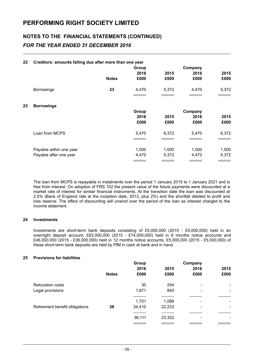# **NOTES TO THE FINANCIAL STATEMENTS (CONTINUED)** *FOR THE YEAR ENDED 31 DECEMBER 2016*

| 22 | Creditors: amounts falling due after more than one year |              |       |       |         |       |
|----|---------------------------------------------------------|--------------|-------|-------|---------|-------|
|    |                                                         |              | Group |       | Company |       |
|    |                                                         |              | 2016  | 2015  | 2016    | 2015  |
|    |                                                         | <b>Notes</b> | £000  | £000  | £000    | £000  |
|    | <b>Borrowings</b>                                       | 23           | 4,470 | 5,372 | 4,470   | 5,372 |
|    |                                                         |              |       |       |         |       |
| 23 | <b>Borrowings</b>                                       |              |       |       |         |       |
|    |                                                         |              | Group |       | Company |       |
|    |                                                         |              | 2016  | 2015  | 2016    | 2015  |
|    |                                                         |              | £000  | £000  | £000    | £000  |
|    | Loan from MCPS                                          |              | 5,470 | 6,372 | 5,470   | 6,372 |
|    |                                                         |              |       |       |         |       |
|    | Payable within one year                                 |              | 1,000 | 1,000 | 1,000   | 1,000 |
|    | Payable after one year                                  |              | 4,470 | 5,372 | 4,470   | 5,372 |

The loan from MCPS is repayable in instalments over the period 1 January 2015 to 1 January 2021 and is free from interest. On adoption of FRS 102 the present value of the future payments were discounted at a market rate of interest for similar financial instruments. At the transition date the loan was discounted at 2.5% (Bank of England rate at the inception date, 2013, plus 2%) and the shortfall debited to profit and loss reserve. The effect of discounting will unwind over the period of the loan as interest charged to the income statement.

#### **24 Investments**

Investments are short-term bank deposits consisting of £5,000,000 (2015 - £5,000,000) held in an overnight deposit account, £83,000,000 (2015 - £74,000,000) held in 6 months notice accounts and £46,000,000 (2015 - £36,000,000) held in 12 months notice accounts. £5,000,000 (2015 - £5,000,000) of these short-term bank deposits are held by PfM in cash at bank and in hand.

#### **25 Provisions for liabilities**

|                                |              | Group  |        | Company                  |                          |
|--------------------------------|--------------|--------|--------|--------------------------|--------------------------|
|                                |              | 2016   | 2015   | 2016                     | 2015                     |
|                                | <b>Notes</b> | £000   | £000   | £000                     | £000                     |
| <b>Relocation costs</b>        |              | 30     | 254    | ۰                        | -                        |
| Legal provisions               |              | 1,671  | 845    | $\overline{\phantom{a}}$ | $\overline{\phantom{a}}$ |
|                                |              |        |        |                          |                          |
|                                |              | 1,701  | 1,099  | ۰                        |                          |
| Retirement benefit obligations | 26           | 34,410 | 22,233 |                          |                          |
|                                |              |        |        |                          |                          |
|                                |              | 36,111 | 23,332 |                          |                          |
|                                |              |        |        |                          |                          |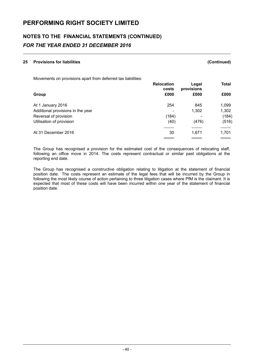# **NOTES TO THE FINANCIAL STATEMENTS (CONTINUED)** *FOR THE YEAR ENDED 31 DECEMBER 2016*

#### **25 Provisions for liabilities (Continued)**

Movements on provisions apart from deferred tax liabilities:

|                                   | <b>Relocation</b><br>costs | Legal<br>provisions | Total |
|-----------------------------------|----------------------------|---------------------|-------|
| Group                             | £000                       | £000                | £000  |
| At 1 January 2016                 | 254                        | 845                 | 1,099 |
| Additional provisions in the year | $\overline{\phantom{a}}$   | 1,302               | 1,302 |
| Reversal of provision             | (184)                      |                     | (184) |
| Utilisation of provision          | (40)                       | (476)               | (516) |
| At 31 December 2016               | 30                         | 1,671               | 1,701 |
|                                   |                            |                     |       |

The Group has recognised a provision for the estimated cost of the consequences of relocating staff, following an office move in 2014. The costs represent contractual or similar past obligations at the reporting end date.

The Group has recognised a constructive obligation relating to litigation at the statement of financial position date. The costs represent an estimate of the legal fees that will be incurred by the Group in following the most likely course of action pertaining to three litigation cases where PfM is the claimant. It is expected that most of these costs will have been incurred within one year of the statement of financial position date.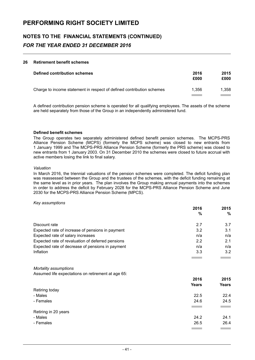#### **26 Retirement benefit schemes**

| Defined contribution schemes                                          | 2016<br>£000 | 2015<br>£000    |
|-----------------------------------------------------------------------|--------------|-----------------|
| Charge to income statement in respect of defined contribution schemes | 1.356        | 1.358<br>$\sim$ |

A defined contribution pension scheme is operated for all qualifying employees. The assets of the scheme are held separately from those of the Group in an independently administered fund.

#### **Defined benefit schemes**

The Group operates two separately administered defined benefit pension schemes. The MCPS-PRS Alliance Pension Scheme (MCPS) (formerly the MCPS scheme) was closed to new entrants from 1 January 1999 and The MCPS-PRS Alliance Pension Scheme (formerly the PRS scheme) was closed to new entrants from 1 January 2003. On 31 December 2010 the schemes were closed to future accrual with active members losing the link to final salary.

#### *Valuation*

In March 2016, the triennial valuations of the pension schemes were completed. The deficit funding plan was reassessed between the Group and the trustees of the schemes, with the deficit funding remaining at the same level as in prior years. The plan involves the Group making annual payments into the schemes in order to address the deficit by February 2028 for the MCPS-PRS Alliance Pension Scheme and June 2030 for the MCPS-PRS Alliance Pension Scheme (MPCS).

#### *Key assumptions*

|                                                   | 2016 | 2015 |
|---------------------------------------------------|------|------|
|                                                   | $\%$ | %    |
| Discount rate                                     | 2.7  | 3.7  |
| Expected rate of increase of pensions in payment  | 3.2  | 3.1  |
| Expected rate of salary increases                 | n/a  | n/a  |
| Expected rate of revaluation of deferred pensions | 2.2  | 2.1  |
| Expected rate of decrease of pensions in payment  | n/a  | n/a  |
| Inflation                                         | 3.3  | 3.2  |

#### *Mortality assumptions*

Assumed life expectations on retirement at age 65:

|                      | 2016              | 2015          |
|----------------------|-------------------|---------------|
|                      | <b>Years</b>      | <b>Years</b>  |
| Retiring today       |                   |               |
| - Males              | 22.5              | 22.4          |
| - Females            | 24.6              | 24.5          |
|                      |                   | $\sim$ $\sim$ |
| Retiring in 20 years |                   |               |
| - Males              | 24.2              | 24.1          |
| - Females            | 26.5              | 26.4          |
|                      | $\equiv$ $\equiv$ | $=$           |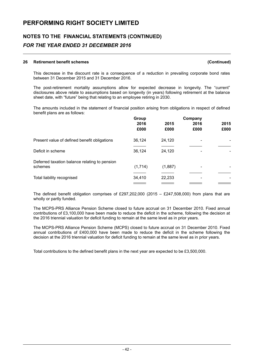#### **26 Retirement benefit schemes (Continued)**

This decrease in the discount rate is a consequence of a reduction in prevailing corporate bond rates between 31 December 2015 and 31 December 2016.

The post-retirement mortality assumptions allow for expected decrease in longevity. The "current" disclosures above relate to assumptions based on longevity (in years) following retirement at the balance sheet date, with "future" being that relating to an employee retiring in 2030.

The amounts included in the statement of financial position arising from obligations in respect of defined benefit plans are as follows:

|                                                          | Group        |              | Company      |              |
|----------------------------------------------------------|--------------|--------------|--------------|--------------|
|                                                          | 2016<br>£000 | 2015<br>£000 | 2016<br>£000 | 2015<br>£000 |
| Present value of defined benefit obligations             | 36,124       | 24,120       |              |              |
| Deficit in scheme                                        | 36,124       | 24,120       |              |              |
| Deferred taxation balance relating to pension<br>schemes | (1,714)      | (1,887)      |              |              |
| Total liability recognised                               | 34,410       | 22,233       |              |              |

The defined benefit obligation comprises of £297,202,000 (2015 – £247,508,000) from plans that are wholly or partly funded.

The MCPS-PRS Alliance Pension Scheme closed to future accrual on 31 December 2010. Fixed annual contributions of £3,100,000 have been made to reduce the deficit in the scheme, following the decision at the 2016 triennial valuation for deficit funding to remain at the same level as in prior years.

The MCPS-PRS Alliance Pension Scheme (MCPS) closed to future accrual on 31 December 2010. Fixed annual contributions of £400,000 have been made to reduce the deficit in the scheme following the decision at the 2016 triennial valuation for deficit funding to remain at the same level as in prior years.

Total contributions to the defined benefit plans in the next year are expected to be £3,500,000.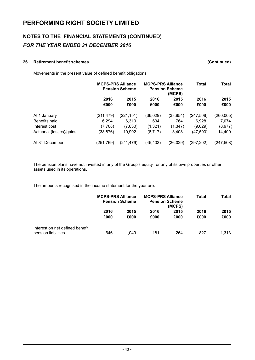#### **26 Retirement benefit schemes (Continued)**

Movements in the present value of defined benefit obligations

|                          | <b>MCPS-PRS Alliance</b><br><b>Pension Scheme</b> |              | <b>MCPS-PRS Alliance</b><br><b>Pension Scheme</b><br>(MCPS) |              | <b>Total</b> | <b>Total</b> |
|--------------------------|---------------------------------------------------|--------------|-------------------------------------------------------------|--------------|--------------|--------------|
|                          | 2016<br>£000                                      | 2015<br>£000 | 2016<br>£000                                                | 2015<br>£000 | 2016<br>£000 | 2015<br>£000 |
| At 1 January             | (211, 479)                                        | (221, 151)   | (36,029)                                                    | (38,854)     | (247, 508)   | (260, 005)   |
| Benefits paid            | 6.294                                             | 6,310        | 634                                                         | 764          | 6.928        | 7.074        |
| Interest cost            | (7,708)                                           | (7,630)      | (1,321)                                                     | (1, 347)     | (9,029)      | (8,977)      |
| Actuarial (losses)/gains | (38, 876)                                         | 10,992       | (8,717)                                                     | 3.408        | (47, 593)    | 14,400       |
|                          |                                                   |              |                                                             |              |              |              |
| At 31 December           | (251, 769)                                        | (211, 479)   | (45, 433)                                                   | (36, 029)    | (297, 202)   | (247, 508)   |
|                          |                                                   |              |                                                             |              |              |              |

The pension plans have not invested in any of the Group's equity, or any of its own properties or other assets used in its operations.

The amounts recognised in the income statement for the year are:

|                                                        | <b>MCPS-PRS Alliance</b><br><b>Pension Scheme</b> |              | <b>MCPS-PRS Alliance</b><br><b>Pension Scheme</b><br>(MCPS) |              | <b>Total</b> | Total        |
|--------------------------------------------------------|---------------------------------------------------|--------------|-------------------------------------------------------------|--------------|--------------|--------------|
|                                                        | 2016<br>£000                                      | 2015<br>£000 | 2016<br>£000                                                | 2015<br>£000 | 2016<br>£000 | 2015<br>£000 |
| Interest on net defined benefit<br>pension liabilities | 646                                               | 1.049        | 181                                                         | 264          | 827          | 1.313        |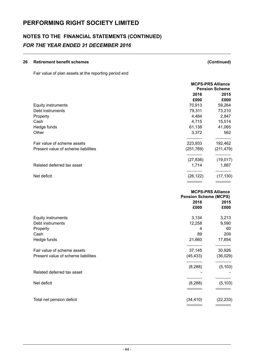# **NOTES TO THE FINANCIAL STATEMENTS (CONTINUED)** *FOR THE YEAR ENDED 31 DECEMBER 2016*

#### **26 Retirement benefit schemes (Continued)**

Fair value of plan assets at the reporting period end

|                                     | <b>MCPS-PRS Alliance</b><br><b>Pension Scheme</b> |            |  |
|-------------------------------------|---------------------------------------------------|------------|--|
|                                     | 2016                                              | 2015       |  |
|                                     | £000                                              | £000       |  |
| Equity instruments                  | 70,913                                            | 59,264     |  |
| Debt instruments                    | 79,311                                            | 73,210     |  |
| Property                            | 4,484                                             | 2,847      |  |
| Cash                                | 4,715                                             | 15,514     |  |
| Hedge funds                         | 61,138                                            | 41,065     |  |
| Other                               | 3,372                                             | 562        |  |
| Fair value of scheme assets         | 223,933                                           | 192,462    |  |
| Present value of scheme liabilities | (251, 769)                                        | (211, 479) |  |
|                                     | (27, 836)                                         | (19, 017)  |  |
| Related deferred tax asset          | 1,714                                             | 1,887      |  |
| Net deficit                         | (26, 122)                                         | (17, 130)  |  |
|                                     |                                                   |            |  |

|                                     | <b>MCPS-PRS Alliance</b><br><b>Pension Scheme (MCPS)</b> |           |  |
|-------------------------------------|----------------------------------------------------------|-----------|--|
|                                     | 2016                                                     | 2015      |  |
|                                     | £000                                                     | £000      |  |
| Equity instruments                  | 3,134                                                    | 3,213     |  |
| Debt instruments                    | 12,258                                                   | 9,590     |  |
| Property                            | 4                                                        | 60        |  |
| Cash                                | 89                                                       | 209       |  |
| Hedge funds                         | 21,660                                                   | 17,854    |  |
| Fair value of scheme assets         | 37,145                                                   | 30,926    |  |
| Present value of scheme liabilities | (45, 433)                                                | (36, 029) |  |
|                                     | (8, 288)                                                 | (5, 103)  |  |
| Related deferred tax asset          |                                                          |           |  |
| Net deficit                         | (8, 288)                                                 | (5, 103)  |  |
|                                     |                                                          |           |  |
| Total net pension deficit           | (34, 410)                                                | (22, 233) |  |
|                                     |                                                          |           |  |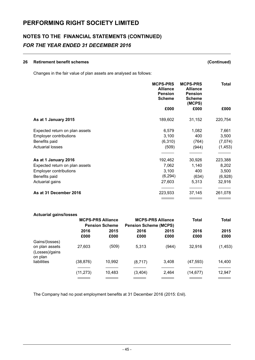# **NOTES TO THE FINANCIAL STATEMENTS (CONTINUED)**  *FOR THE YEAR ENDED 31 DECEMBER 2016*

#### **26 Retirement benefit schemes (Continued)**

Changes in the fair value of plan assets are analysed as follows:

|                                | <b>MCPS-PRS</b><br><b>Alliance</b><br><b>Pension</b><br><b>Scheme</b> | <b>MCPS-PRS</b><br><b>Alliance</b><br><b>Pension</b><br><b>Scheme</b><br>(MCPS) | <b>Total</b> |
|--------------------------------|-----------------------------------------------------------------------|---------------------------------------------------------------------------------|--------------|
|                                | £000                                                                  | £000                                                                            | £000         |
| As at 1 January 2015           | 189,602                                                               | 31,152                                                                          | 220,754      |
| Expected return on plan assets | 6,579                                                                 | 1,082                                                                           | 7,661        |
| <b>Employer contributions</b>  | 3,100                                                                 | 400                                                                             | 3,500        |
| Benefits paid                  | (6,310)                                                               | (764)                                                                           | (7,074)      |
| <b>Actuarial losses</b>        | (509)                                                                 | (944)                                                                           | (1, 453)     |
|                                |                                                                       |                                                                                 |              |
| As at 1 January 2016           | 192,462                                                               | 30,926                                                                          | 223,388      |
| Expected return on plan assets | 7,062                                                                 | 1,140                                                                           | 8,202        |
| <b>Employer contributions</b>  | 3,100                                                                 | 400                                                                             | 3,500        |
| Benefits paid                  | (6, 294)                                                              | (634)                                                                           | (6,928)      |
| Actuarial gains                | 27,603                                                                | 5,313                                                                           | 32,916       |
| As at 31 December 2016         | 223,933                                                               | 37,145                                                                          | 261,078      |
|                                |                                                                       |                                                                                 |              |

#### **Actuarial gains/losses**

|                           |           | <b>MCPS-PRS Alliance</b> | <b>MCPS-PRS Alliance</b> |                              | <b>Total</b> | <b>Total</b> |
|---------------------------|-----------|--------------------------|--------------------------|------------------------------|--------------|--------------|
|                           |           | <b>Pension Scheme</b>    |                          | <b>Pension Scheme (MCPS)</b> |              |              |
|                           | 2016      | 2015                     | 2016                     | 2015                         | 2016         | 2015         |
|                           | £000      | £000                     | £000                     | £000                         | £000         | £000         |
| Gains/(losses)            |           |                          |                          |                              |              |              |
| on plan assets            | 27.603    | (509)                    | 5.313                    | (944)                        | 32.916       | (1, 453)     |
| (Losses)/gains<br>on plan |           |                          |                          |                              |              |              |
| liabilities               | (38, 876) | 10,992                   | (8,717)                  | 3,408                        | (47, 593)    | 14,400       |
|                           |           |                          |                          |                              |              |              |
|                           | (11, 273) | 10,483                   | (3, 404)                 | 2,464                        | (14, 677)    | 12,947       |
|                           |           |                          |                          |                              |              |              |

The Company had no post employment benefits at 31 December 2016 (2015: £nil).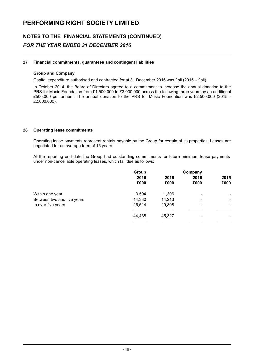# **NOTES TO THE FINANCIAL STATEMENTS (CONTINUED)** *FOR THE YEAR ENDED 31 DECEMBER 2016*

#### **27 Financial commitments, guarantees and contingent liabilities**

#### **Group and Company**

Capital expenditure authorised and contracted for at 31 December 2016 was £nil (2015 – £nil).

In October 2014, the Board of Directors agreed to a commitment to increase the annual donation to the PRS for Music Foundation from £1,500,000 to £3,000,000 across the following three years by an additional £500,000 per annum. The annual donation to the PRS for Music Foundation was £2,500,000 (2015 - £2,000,000).

#### **28 Operating lease commitments**

Operating lease payments represent rentals payable by the Group for certain of its properties. Leases are negotiated for an average term of 15 years.

At the reporting end date the Group had outstanding commitments for future minimum lease payments under non-cancellable operating leases, which fall due as follows:

|                            | Group  |        | Company                  |                          |  |
|----------------------------|--------|--------|--------------------------|--------------------------|--|
|                            | 2016   | 2015   | 2016                     | 2015                     |  |
|                            | £000   | £000   | £000                     | £000                     |  |
| Within one year            | 3,594  | 1,306  | -                        | $\overline{\phantom{a}}$ |  |
| Between two and five years | 14,330 | 14,213 | $\overline{\phantom{0}}$ | $\overline{\phantom{a}}$ |  |
| In over five years         | 26,514 | 29,808 | -                        | ٠                        |  |
|                            |        |        |                          |                          |  |
|                            | 44,438 | 45,327 |                          |                          |  |
|                            |        |        |                          |                          |  |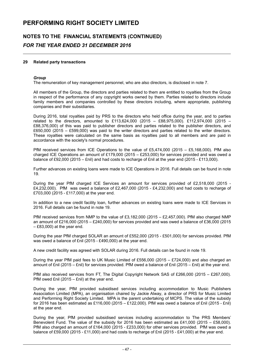# **NOTES TO THE FINANCIAL STATEMENTS (CONTINUED)** *FOR THE YEAR ENDED 31 DECEMBER 2016*

#### **29 Related party transactions**

#### *Group*

The remuneration of key management personnel, who are also directors, is disclosed in note 7.

All members of the Group, the directors and parties related to them are entitled to royalties from the Group in respect of the performance of any copyright works owned by them. Parties related to directors include family members and companies controlled by these directors including, where appropriate, publishing companies and their subsidiaries.

During 2016, total royalties paid by PRS to the directors who held office during the year, and to parties related to the directors, amounted to £113,624,000 (2015 – £88,975,000). £112,974,000 (2015 – £88,376,000) of this was paid to publisher directors and parties related to the publisher directors, and £650,000 (2015 – £599,000) was paid to the writer directors and parties related to the writer directors. These royalties were calculated on the same basis as royalties paid to all members and are paid in accordance with the society's normal procedures.

PfM received services from ICE Operations to the value of £5,474,000 (2015 – £5,168,000). PfM also charged ICE Operations an amount of £179,000 (2015 – £253,000) for services provided and was owed a balance of £92,000 (2015 – £nil) and had costs to recharge of £nil at the year end (2015 - £113,000).

Further advances on existing loans were made to ICE Operations in 2016. Full details can be found in note 19.

During the year PfM charged ICE Services an amount for services provided of £2,518,000 (2015 - £4,232,000). PfM was owed a balance of £2,467,000 (2015 - £4,232,000) and had costs to recharge of £703,000 (2015 - £117,000) at the year end.

In addition to a new credit facility loan, further advances on existing loans were made to ICE Services in 2016. Full details can be found in note 19.

PfM received services from NMP to the value of £3,182,000 (2015 – £2,457,000). PfM also charged NMP an amount of £216,000 (2015 – £240,000) for services provided and was owed a balance of £36,000 (2015 – £83,000) at the year end.

During the year PfM charged SOLAR an amount of £552,000 (2015 - £501,000) for services provided. PfM was owed a balance of £nil (2015 - £490,000) at the year end.

A new credit facility was agreed with SOLAR during 2016. Full details can be found in note 19.

During the year PfM paid fees to UK Music Limited of £556,000 (2015 – £724,000) and also charged an amount of £nil (2015 – £nil) for services provided. PfM owed a balance of £nil (2015 – £nil) at the year end.

PfM also received services from FT, The Digital Copyright Network SAS of £266,000 (2015 – £267,000). PfM owed £nil (2015 – £nil) at the year end.

During the year, PfM provided subsidised services including accommodation to Music Publishers Association Limited (MPA), an organisation chaired by Jackie Alway, a director of PRS for Music Limited and Performing Right Society Limited. MPA is the parent undertaking of MCPS. The value of the subsidy for 2016 has been estimated as £116,000 (2015 – £122,000). PfM was owed a balance of £nil (2015 - £nil) at the year end.

During the year, PfM provided subsidised services including accommodation to The PRS Members' Benevolent Fund. The value of the subsidy for 2016 has been estimated as £41,000 (2015 – £58,000). PfM also charged an amount of £164,000 (2015 - £233,000) for other services provided. PfM was owed a balance of £59,000 (2015 - £11,000) and had costs to recharge of £nil (2015 - £41,000) at the year end.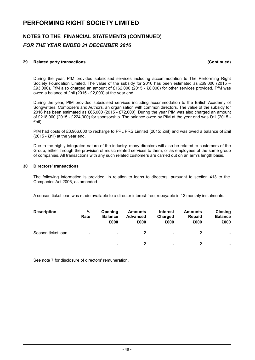# **NOTES TO THE FINANCIAL STATEMENTS (CONTINUED)** *FOR THE YEAR ENDED 31 DECEMBER 2016*

#### **29 Related party transactions (Continued)**

During the year, PfM provided subsidised services including accommodation to The Performing Right Society Foundation Limited. The value of the subsidy for 2016 has been estimated as £69,000 (2015 – £93,000). PfM also charged an amount of £162,000 (2015 - £6,000) for other services provided. PfM was owed a balance of £nil (2015 - £2,000) at the year end.

During the year, PfM provided subsidised services including accommodation to the British Academy of Songwriters, Composers and Authors, an organisation with common directors. The value of the subsidy for 2016 has been estimated as £65,000 (2015 - £72,000). During the year PfM was also charged an amount of £218,000 (2015 - £224,000) for sponsorship. The balance owed by PfM at the year end was £nil (2015 - £nil).

PfM had costs of £3,906,000 to recharge to PPL PRS Limited (2015: £nil) and was owed a balance of £nil (2015 - £nil) at the year end.

Due to the highly integrated nature of the industry, many directors will also be related to customers of the Group, either through the provision of music related services to them, or as employees of the same group of companies. All transactions with any such related customers are carried out on an arm's length basis.

#### **30 Directors' transactions**

The following information is provided, in relation to loans to directors, pursuant to section 413 to the Companies Act 2006, as amended.

A season ticket loan was made available to a director interest-free, repayable in 12 monthly instalments.

| <b>Description</b> | $\%$<br>Rate             | Opening<br><b>Balance</b><br>£000 | <b>Amounts</b><br><b>Advanced</b><br>£000 | <b>Interest</b><br>Charged<br>£000 | <b>Amounts</b><br><b>Repaid</b><br>£000 | Closing<br><b>Balance</b><br>£000 |
|--------------------|--------------------------|-----------------------------------|-------------------------------------------|------------------------------------|-----------------------------------------|-----------------------------------|
| Season ticket loan | $\overline{\phantom{0}}$ | $\overline{\phantom{a}}$          | 2                                         | $\overline{\phantom{0}}$           |                                         | $\overline{\phantom{a}}$          |
|                    |                          |                                   |                                           |                                    |                                         |                                   |
|                    |                          | $\overline{\phantom{0}}$          | 2                                         | $\overline{\phantom{0}}$           | 2                                       | $\overline{\phantom{a}}$          |
|                    |                          |                                   |                                           |                                    |                                         | $\sim$                            |

See note 7 for disclosure of directors' remuneration.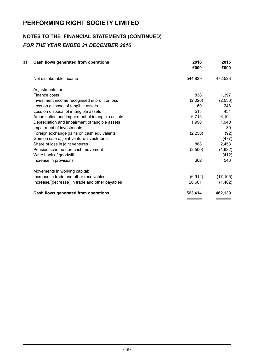# **NOTES TO THE FINANCIAL STATEMENTS (CONTINUED)** *FOR THE YEAR ENDED 31 DECEMBER 2016*

| 31 | Cash flows generated from operations             | 2016<br>£000 | 2015<br>£000 |
|----|--------------------------------------------------|--------------|--------------|
|    | Net distributable income                         | 544,829      | 472,523      |
|    | Adjustments for:                                 |              |              |
|    | Finance costs                                    | 838          | 1,397        |
|    | Investment income recognised in profit or loss   | (2,020)      | (2,036)      |
|    | Loss on disposal of tangible assets              | 60           | 248          |
|    | Loss on disposal of intangible assets            | 513          | 434          |
|    | Amortisation and impairment of intangible assets | 6,715        | 6,104        |
|    | Depreciation and impairment of tangible assets   | 1,990        | 1,940        |
|    | Impairment of investments                        |              | 30           |
|    | Foreign exchange gains on cash equivalents       | (2, 250)     | (92)         |
|    | Gain on sale of joint venture investments        |              | (477)        |
|    | Share of loss in joint ventures                  | 888          | 2,453        |
|    | Pension scheme non-cash movement                 | (2,500)      | (1,932)      |
|    | Write back of goodwill                           |              | (412)        |
|    | Increase in provisions                           | 602          | 546          |
|    | Movements in working capital:                    |              |              |
|    | Increase in trade and other receivables          | (6, 912)     | (17, 105)    |
|    | Increase/(decrease) in trade and other payables  | 20,661       | (1, 482)     |
|    | Cash flows generated from operations             | 563,414      | 462,139      |